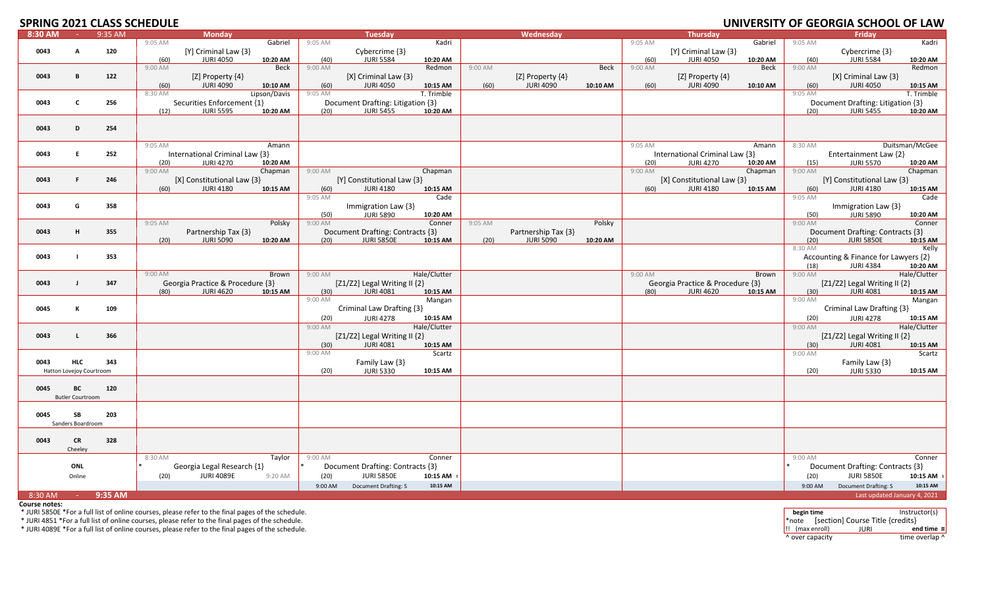# **SPRING 2021 CLASS SCHEDULE**

|         |                          |         | .       |                                  |              |         |                                      |              |         |                      |          |         |                                  |          |         |                                      |                              |
|---------|--------------------------|---------|---------|----------------------------------|--------------|---------|--------------------------------------|--------------|---------|----------------------|----------|---------|----------------------------------|----------|---------|--------------------------------------|------------------------------|
| 8:30 AM | $\sim 100$               | 9:35 AM |         | <b>Monday</b>                    |              |         | Tuesday                              |              |         | Wednesday            |          |         | <b>Thursday</b>                  |          |         | Friday                               |                              |
|         |                          |         | 9:05 AM |                                  | Gabriel      | 9:05 AM |                                      | Kadri        |         |                      |          | 9:05 AM |                                  | Gabriel  | 9:05 AM |                                      | Kadri                        |
| 0043    | A                        | 120     |         | [Y] Criminal Law {3}             |              |         | Cybercrime {3}                       |              |         |                      |          |         | [Y] Criminal Law {3}             |          |         | Cybercrime {3}                       |                              |
|         |                          |         | (60)    | <b>JURI 4050</b>                 | 10:20 AM     | (40)    | <b>JURI 5584</b>                     | 10:20 AM     |         |                      |          | (60)    | <b>JURI 4050</b>                 | 10:20 AM | (40)    | <b>JURI 5584</b>                     | 10:20 AM                     |
|         |                          |         | 9:00 AM |                                  | Beck         | 9:00 AM |                                      | Redmon       | 9:00 AM |                      | Beck     | 9:00 AM |                                  | Beck     | 9:00 AM |                                      | Redmon                       |
| 0043    | B                        | 122     |         | [Z] Property {4}                 |              |         | [X] Criminal Law {3}                 |              |         | [Z] Property $\{4\}$ |          |         | [Z] Property {4}                 |          |         | [X] Criminal Law {3}                 |                              |
|         |                          |         | (60)    | <b>JURI 4090</b>                 | 10:10 AM     | (60)    | <b>JURI 4050</b>                     | 10:15 AM     | (60)    | <b>JURI 4090</b>     | 10:10 AM | (60)    | <b>JURI 4090</b>                 | 10:10 AM | (60)    | <b>JURI 4050</b>                     | 10:15 AM                     |
|         |                          |         | 8:30 AM |                                  | Lipson/Davis | 9:05 AM |                                      | T. Trimble   |         |                      |          |         |                                  |          | 9:05 AM |                                      | T. Trimble                   |
|         |                          |         |         |                                  |              |         |                                      |              |         |                      |          |         |                                  |          |         |                                      |                              |
| 0043    | C                        | 256     |         | Securities Enforcement {1}       |              |         | Document Drafting: Litigation {3}    |              |         |                      |          |         |                                  |          |         | Document Drafting: Litigation {3}    |                              |
|         |                          |         | (12)    | <b>JURI 5595</b>                 | 10:20 AM     | (20)    | <b>JURI 5455</b>                     | 10:20 AM     |         |                      |          |         |                                  |          | (20)    | <b>JURI 5455</b>                     | 10:20 AM                     |
|         |                          |         |         |                                  |              |         |                                      |              |         |                      |          |         |                                  |          |         |                                      |                              |
| 0043    | D                        | 254     |         |                                  |              |         |                                      |              |         |                      |          |         |                                  |          |         |                                      |                              |
|         |                          |         |         |                                  |              |         |                                      |              |         |                      |          |         |                                  |          |         |                                      |                              |
|         |                          |         | 9:05 AM |                                  | Amann        |         |                                      |              |         |                      |          | 9:05 AM |                                  | Amann    | 8:30 AM |                                      | Duitsman/McGee               |
| 0043    | E                        | 252     |         | International Criminal Law {3}   |              |         |                                      |              |         |                      |          |         | International Criminal Law {3}   |          |         | Entertainment Law {2}                |                              |
|         |                          |         | (20)    | JURI 4270                        | 10:20 AM     |         |                                      |              |         |                      |          | (20)    | <b>JURI 4270</b>                 | 10:20 AM | (15)    | <b>JURI 5570</b>                     | 10:20 AM                     |
|         |                          |         | 9:00 AM |                                  |              |         |                                      |              |         |                      |          | 9:00 AM |                                  |          | 9:00 AM |                                      |                              |
|         |                          |         |         |                                  | Chapman      | 9:00 AM |                                      | Chapman      |         |                      |          |         |                                  | Chapman  |         |                                      | Chapman                      |
| 0043    | F.                       | 246     |         | [X] Constitutional Law {3}       |              |         | [Y] Constitutional Law {3}           |              |         |                      |          |         | [X] Constitutional Law {3}       |          |         | [Y] Constitutional Law {3}           |                              |
|         |                          |         | (60)    | <b>JURI 4180</b>                 | 10:15 AM     | (60)    | <b>JURI 4180</b>                     | 10:15 AM     |         |                      |          | (60)    | <b>JURI 4180</b>                 | 10:15 AM | (60)    | <b>JURI 4180</b>                     | 10:15 AM                     |
|         |                          |         |         |                                  |              | 9:05 AM |                                      | Cade         |         |                      |          |         |                                  |          | 9:05 AM |                                      | Cade                         |
| 0043    | G                        | 358     |         |                                  |              |         | Immigration Law {3}                  |              |         |                      |          |         |                                  |          |         | Immigration Law {3}                  |                              |
|         |                          |         |         |                                  |              | (50)    | <b>JURI 5890</b>                     | 10:20 AM     |         |                      |          |         |                                  |          | (50)    | <b>JURI 5890</b>                     | 10:20 AM                     |
|         |                          |         | 9:05 AM |                                  | Polsky       | 9:00 AM |                                      | Conner       | 9:05 AM |                      | Polsky   |         |                                  |          | 9:00 AM |                                      | Conner                       |
| 0043    | н                        | 355     |         | Partnership Tax {3}              |              |         | Document Drafting: Contracts {3}     |              |         | Partnership Tax {3}  |          |         |                                  |          |         | Document Drafting: Contracts {3}     |                              |
|         |                          |         |         |                                  |              | (20)    |                                      |              |         |                      |          |         |                                  |          |         |                                      |                              |
|         |                          |         | (20)    | <b>JURI 5090</b>                 | 10:20 AM     |         | <b>JURI 5850E</b>                    | 10:15 AM     | (20)    | <b>JURI 5090</b>     | 10:20 AM |         |                                  |          | (20)    | <b>JURI 5850E</b>                    | 10:15 AM                     |
|         |                          |         |         |                                  |              |         |                                      |              |         |                      |          |         |                                  |          | 8:30 AM |                                      | Kelly                        |
| 0043    |                          | 353     |         |                                  |              |         |                                      |              |         |                      |          |         |                                  |          |         | Accounting & Finance for Lawyers {2} |                              |
|         |                          |         |         |                                  |              |         |                                      |              |         |                      |          |         |                                  |          | (18)    | <b>JURI 4384</b>                     | 10:20 AM                     |
|         |                          |         | 9:00 AM |                                  | Brown        | 9:00 AM |                                      | Hale/Clutter |         |                      |          | 9:00 AM |                                  | Brown    | 9:00 AM |                                      | Hale/Clutter                 |
| 0043    | $\mathbf{I}$             | 347     |         | Georgia Practice & Procedure {3} |              |         | [ $Z1/Z2$ ] Legal Writing II $\{2\}$ |              |         |                      |          |         | Georgia Practice & Procedure {3} |          |         | [Z1/Z2] Legal Writing II {2}         |                              |
|         |                          |         | (80)    | JURI 4620                        | 10:15 AM     | (30)    | JURI 4081                            | 10:15 AM     |         |                      |          | (80)    | <b>JURI 4620</b>                 | 10:15 AM | (30)    | JURI 4081                            | 10:15 AM                     |
|         |                          |         |         |                                  |              | 9:00 AM |                                      | Mangan       |         |                      |          |         |                                  |          | 9:00 AM |                                      | Mangan                       |
| 0045    | к                        | 109     |         |                                  |              |         | Criminal Law Drafting {3}            |              |         |                      |          |         |                                  |          |         | Criminal Law Drafting {3}            |                              |
|         |                          |         |         |                                  |              |         |                                      |              |         |                      |          |         |                                  |          |         |                                      |                              |
|         |                          |         |         |                                  |              | (20)    | <b>JURI 4278</b>                     | 10:15 AM     |         |                      |          |         |                                  |          | (20)    | <b>JURI 4278</b>                     | 10:15 AM                     |
|         |                          |         |         |                                  |              | 9:00 AM |                                      | Hale/Clutter |         |                      |          |         |                                  |          | 9:00 AM |                                      | Hale/Clutter                 |
| 0043    |                          | 366     |         |                                  |              |         | [ $Z1/Z2$ ] Legal Writing II $\{2\}$ |              |         |                      |          |         |                                  |          |         | [Z1/Z2] Legal Writing II {2}         |                              |
|         |                          |         |         |                                  |              | (30)    | <b>JURI 4081</b>                     | 10:15 AM     |         |                      |          |         |                                  |          | (30)    | <b>JURI 4081</b>                     | 10:15 AM                     |
|         |                          |         |         |                                  |              | 9:00 AM |                                      | Scartz       |         |                      |          |         |                                  |          | 9:00 AM |                                      | Scartz                       |
| 0043    | <b>HLC</b>               | 343     |         |                                  |              |         | Family Law {3}                       |              |         |                      |          |         |                                  |          |         | Family Law $\{3\}$                   |                              |
|         | Hatton Lovejoy Courtroom |         |         |                                  |              | (20)    | <b>JURI 5330</b>                     | 10:15 AM     |         |                      |          |         |                                  |          | (20)    | <b>JURI 5330</b>                     | 10:15 AM                     |
|         |                          |         |         |                                  |              |         |                                      |              |         |                      |          |         |                                  |          |         |                                      |                              |
|         |                          |         |         |                                  |              |         |                                      |              |         |                      |          |         |                                  |          |         |                                      |                              |
| 0045    | BC                       | 120     |         |                                  |              |         |                                      |              |         |                      |          |         |                                  |          |         |                                      |                              |
|         | <b>Butler Courtroom</b>  |         |         |                                  |              |         |                                      |              |         |                      |          |         |                                  |          |         |                                      |                              |
|         |                          |         |         |                                  |              |         |                                      |              |         |                      |          |         |                                  |          |         |                                      |                              |
| 0045    | SB                       | 203     |         |                                  |              |         |                                      |              |         |                      |          |         |                                  |          |         |                                      |                              |
|         | Sanders Boardroom        |         |         |                                  |              |         |                                      |              |         |                      |          |         |                                  |          |         |                                      |                              |
|         |                          |         |         |                                  |              |         |                                      |              |         |                      |          |         |                                  |          |         |                                      |                              |
| 0043    | <b>CR</b>                | 328     |         |                                  |              |         |                                      |              |         |                      |          |         |                                  |          |         |                                      |                              |
|         | Cheeley                  |         |         |                                  |              |         |                                      |              |         |                      |          |         |                                  |          |         |                                      |                              |
|         |                          |         |         |                                  |              |         |                                      |              |         |                      |          |         |                                  |          |         |                                      |                              |
|         |                          |         | 8:30 AM |                                  | Taylor       | 9:00 AM |                                      | Conner       |         |                      |          |         |                                  |          | 9:00 AM |                                      | Conner                       |
|         | ONL                      |         |         | Georgia Legal Research {1}       |              |         | Document Drafting: Contracts {3}     |              |         |                      |          |         |                                  |          |         | Document Drafting: Contracts {3}     |                              |
|         | Online                   |         | (20)    | <b>JURI 4089E</b>                | 9:20 AM      | (20)    | <b>JURI 5850E</b>                    | 10:15 AM     |         |                      |          |         |                                  |          | (20)    | <b>JURI 5850E</b>                    | 10:15 AM 1                   |
|         |                          |         |         |                                  |              | 9:00 AM | Document Drafting: S                 | 10:15 AM     |         |                      |          |         |                                  |          | 9:00 AM | Document Drafting: S                 | 10:15 AM                     |
| 8:30 AM | $\sim 100$               | 9:35 AM |         |                                  |              |         |                                      |              |         |                      |          |         |                                  |          |         |                                      | Last updated January 4, 2021 |
|         |                          |         |         |                                  |              |         |                                      |              |         |                      |          |         |                                  |          |         |                                      |                              |

**Course notes:**

\* JURI 5850E \*For a full list of online courses, please refer to the final pages of the schedule. **begin time** Instructor(s)

\* JURI 4851 \*For a full list of online courses, please refer to the final pages of the schedule.  $\blacksquare$  \*  $\blacksquare$  and  $\blacksquare$   $\blacksquare$   $\blacksquare$   $\blacksquare$   $\blacksquare$   $\blacksquare$   $\blacksquare$   $\blacksquare$   $\blacksquare$   $\blacksquare$   $\blacksquare$   $\blacksquare$   $\blacksquare$   $\blacksquare$   $\blacksquare$ 

\* JURI 4089E \*For a full list of online courses, please refer to the final pages of the schedule. !! (max enroll) JURI **end time ¤** ^ over capacity time overlap ^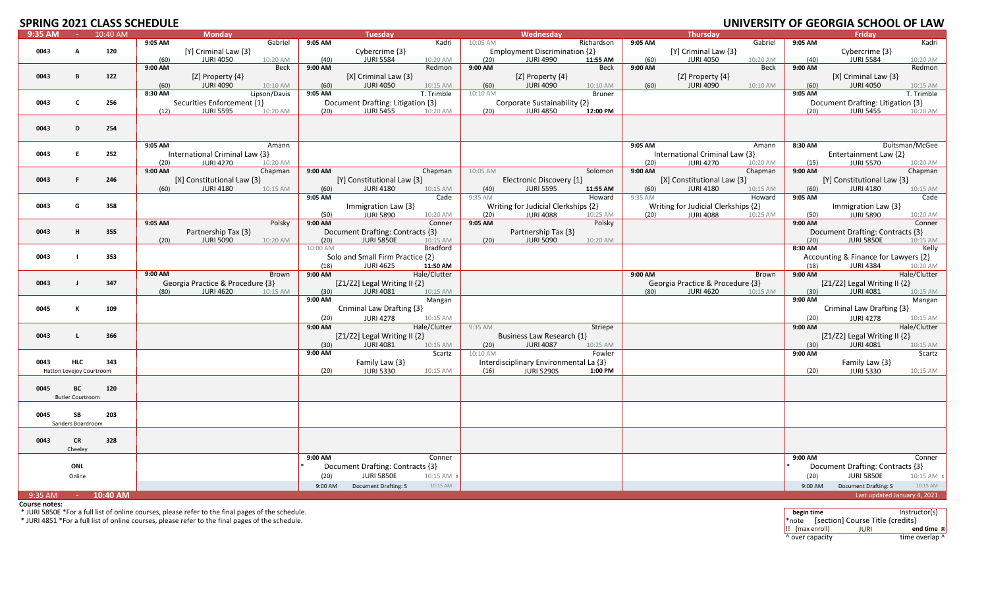# **SPRING 2021 CLASS SCHEDULE**

|         |                          | LULI CLAJJ JUHLDULL |         |                                  |              |          |                                      |              |          |                                        |               |         |                                     |             |         | <u>UNIVERSITI UI ULUNUM JUNUUL UI LAW</u> |                |
|---------|--------------------------|---------------------|---------|----------------------------------|--------------|----------|--------------------------------------|--------------|----------|----------------------------------------|---------------|---------|-------------------------------------|-------------|---------|-------------------------------------------|----------------|
| 9:35 AM | <b>College</b>           | 10:40 AM            |         | <b>Monday</b>                    |              |          | <b>Tuesday</b>                       |              |          | Wednesday                              |               |         | <b>Thursday</b>                     |             |         | Fridav                                    |                |
|         |                          |                     | 9:05 AM |                                  | Gabriel      | 9:05 AM  |                                      | Kadri        | 10:05 AM |                                        | Richardson    | 9:05 AM |                                     | Gabriel     | 9:05 AM |                                           | Kadri          |
| 0043    | A                        | 120                 |         | [Y] Criminal Law {3}             |              |          | Cybercrime {3}                       |              |          | Employment Discrimination {2}          |               |         | [Y] Criminal Law {3}                |             |         | Cybercrime {3}                            |                |
|         |                          |                     | (60)    | <b>JURI 4050</b>                 | 10:20 AM     | (40)     | <b>JURI 5584</b>                     | 10:20 AM     | (20)     | JURI 4990                              | 11:55 AM      | (60)    | <b>JURI 4050</b>                    | 10:20 AM    | (40)    | <b>JURI 5584</b>                          | 10:20 AM       |
|         |                          |                     | 9:00 AM |                                  | <b>Beck</b>  | 9:00 AM  |                                      | Redmon       | 9:00 AM  |                                        | Beck          | 9:00 AM |                                     | <b>Beck</b> | 9:00 AM |                                           | Redmon         |
|         |                          |                     |         |                                  |              |          |                                      |              |          |                                        |               |         |                                     |             |         |                                           |                |
| 0043    | B                        | 122                 |         | [Z] Property $\{4\}$             |              |          | $[X]$ Criminal Law $\{3\}$           |              |          | [Z] Property $\{4\}$                   |               |         | [Z] Property {4}                    |             |         | [X] Criminal Law {3}                      |                |
|         |                          |                     | (60)    | JURI 4090                        | 10:10 AM     | (60)     | <b>JURI 4050</b>                     | 10:15 AM     | (60)     | JURI 4090                              | 10:10 AM      | (60)    | <b>JURI 4090</b>                    | 10:10 AM    | (60)    | <b>JURI 4050</b>                          | 10:15 AM       |
|         |                          |                     | 8:30 AM |                                  | Lipson/Davis | 9:05 AM  |                                      | T. Trimble   | 10:10 AM |                                        | <b>Bruner</b> |         |                                     |             | 9:05 AM |                                           | T. Trimble     |
| 0043    | C                        | 256                 |         | Securities Enforcement {1}       |              |          | Document Drafting: Litigation {3}    |              |          | Corporate Sustainability {2}           |               |         |                                     |             |         | Document Drafting: Litigation {3}         |                |
|         |                          |                     | (12)    | <b>JURI 5595</b>                 | 10:20 AM     | (20)     | <b>JURI 5455</b>                     | 10:20 AM     | (20)     | <b>JURI 4850</b>                       | 12:00 PM      |         |                                     |             | (20)    | <b>JURI 5455</b>                          | 10:20 AM       |
|         |                          |                     |         |                                  |              |          |                                      |              |          |                                        |               |         |                                     |             |         |                                           |                |
|         |                          |                     |         |                                  |              |          |                                      |              |          |                                        |               |         |                                     |             |         |                                           |                |
| 0043    | D                        | 254                 |         |                                  |              |          |                                      |              |          |                                        |               |         |                                     |             |         |                                           |                |
|         |                          |                     |         |                                  |              |          |                                      |              |          |                                        |               |         |                                     |             |         |                                           |                |
|         |                          |                     | 9:05 AM |                                  | Amann        |          |                                      |              |          |                                        |               | 9:05 AM |                                     | Amann       | 8:30 AM |                                           | Duitsman/McGee |
| 0043    | E.                       | 252                 |         | International Criminal Law {3}   |              |          |                                      |              |          |                                        |               |         | International Criminal Law {3}      |             |         | Entertainment Law {2}                     |                |
|         |                          |                     |         | <b>JURI 4270</b>                 |              |          |                                      |              |          |                                        |               |         | <b>JURI 4270</b>                    |             |         | <b>JURI 5570</b>                          |                |
|         |                          |                     | (20)    |                                  | 10:20 AM     |          |                                      |              |          |                                        |               | (20)    |                                     | 10:20 AM    | (15)    |                                           | 10:20 AM       |
|         |                          |                     | 9:00 AM |                                  | Chapman      | 9:00 AM  |                                      | Chapman      | 10:05 AM |                                        | Solomon       | 9:00 AM |                                     | Chapman     | 9:00 AM |                                           | Chapman        |
| 0043    | F                        | 246                 |         | [X] Constitutional Law {3}       |              |          | [Y] Constitutional Law {3}           |              |          | Electronic Discovery {1}               |               |         | [X] Constitutional Law {3}          |             |         | [Y] Constitutional Law {3}                |                |
|         |                          |                     | (60)    | <b>JURI 4180</b>                 | 10:15 AM     | (60)     | <b>JURI 4180</b>                     | 10:15 AM     | (40)     | <b>JURI 5595</b>                       | 11:55 AM      | (60)    | <b>JURI 4180</b>                    | 10:15 AM    | (60)    | <b>JURI 4180</b>                          | 10:15 AM       |
|         |                          |                     |         |                                  |              | 9:05 AM  |                                      | Cade         | 9:35 AM  |                                        | Howard        | 9:35 AM |                                     | Howard      | 9:05 AM |                                           | Cade           |
| 0043    | G                        | 358                 |         |                                  |              |          | Immigration Law {3}                  |              |          | Writing for Judicial Clerkships {2}    |               |         | Writing for Judicial Clerkships {2} |             |         | Immigration Law {3}                       |                |
|         |                          |                     |         |                                  |              |          |                                      |              |          |                                        |               |         |                                     |             |         |                                           |                |
|         |                          |                     |         |                                  |              | (50)     | <b>JURI 5890</b>                     | 10:20 AM     | (20)     | <b>JURI 4088</b>                       | 10:25 AM      | (20)    | <b>JURI 4088</b>                    | 10:25 AM    | (50)    | <b>JURI 5890</b>                          | 10:20 AM       |
|         |                          |                     | 9:05 AM |                                  | Polsky       | 9:00 AM  |                                      | Conner       | 9:05 AM  |                                        | Polsky        |         |                                     |             | 9:00 AM |                                           | Conner         |
| 0043    | н                        | 355                 |         | Partnership Tax {3}              |              |          | Document Drafting: Contracts {3}     |              |          | Partnership Tax {3}                    |               |         |                                     |             |         | Document Drafting: Contracts {3}          |                |
|         |                          |                     | (20)    | <b>JURI 5090</b>                 | 10:20 AM     | (20)     | JURI 5850E                           | 10:15 AM     | (20)     | <b>JURI 5090</b>                       | 10:20 AM      |         |                                     |             | (20)    | <b>JURI 5850E</b>                         | 10:15 AM       |
|         |                          |                     |         |                                  |              | 10:00 AM |                                      | Bradford     |          |                                        |               |         |                                     |             | 8:30 AM |                                           | Kelly          |
| 0043    |                          | 353                 |         |                                  |              |          | Solo and Small Firm Practice {2}     |              |          |                                        |               |         |                                     |             |         | Accounting & Finance for Lawyers {2}      |                |
|         |                          |                     |         |                                  |              |          |                                      |              |          |                                        |               |         |                                     |             |         |                                           |                |
|         |                          |                     |         |                                  |              | (18)     | <b>JURI 4625</b>                     | 11:50 AM     |          |                                        |               |         |                                     |             | (18)    | JURI 4384                                 | 10:20 AM       |
|         |                          |                     | 9:00 AM |                                  | Brown        | 9:00 AM  |                                      | Hale/Clutter |          |                                        |               | 9:00 AM |                                     | Brown       | 9:00 AM |                                           | Hale/Clutter   |
| 0043    |                          | 347                 |         | Georgia Practice & Procedure {3} |              |          | [ $Z1/Z2$ ] Legal Writing II $\{2\}$ |              |          |                                        |               |         | Georgia Practice & Procedure {3}    |             |         | [ $Z1/Z2$ ] Legal Writing II $\{2\}$      |                |
|         |                          |                     | (80)    | <b>JURI 4620</b>                 | 10:15 AM     | (30)     | <b>JURI 4081</b>                     | 10:15 AM     |          |                                        |               | (80)    | <b>JURI 4620</b>                    | 10:15 AM    | (30)    | <b>JURI 4081</b>                          | 10:15 AM       |
|         |                          |                     |         |                                  |              | 9:00 AM  |                                      | Mangan       |          |                                        |               |         |                                     |             | 9:00 AM |                                           | Mangan         |
| 0045    | К                        | 109                 |         |                                  |              |          | Criminal Law Drafting {3}            |              |          |                                        |               |         |                                     |             |         | Criminal Law Drafting {3}                 |                |
|         |                          |                     |         |                                  |              |          |                                      |              |          |                                        |               |         |                                     |             |         |                                           |                |
|         |                          |                     |         |                                  |              | (20)     | <b>JURI 4278</b>                     | 10:15 AM     |          |                                        |               |         |                                     |             | (20)    | <b>JURI 4278</b>                          | 10:15 AM       |
|         |                          |                     |         |                                  |              | 9:00 AM  |                                      | Hale/Clutter | 9:35 AM  |                                        | Striepe       |         |                                     |             | 9:00 AM |                                           | Hale/Clutter   |
| 0043    | L.                       | 366                 |         |                                  |              |          | [ $Z1/Z2$ ] Legal Writing II $\{2\}$ |              |          | Business Law Research {1}              |               |         |                                     |             |         | [ $Z1/Z2$ ] Legal Writing II $\{2\}$      |                |
|         |                          |                     |         |                                  |              | (30)     | <b>JURI 4081</b>                     | 10:15 AM     | (20)     | <b>JURI 4087</b>                       | 10:25 AM      |         |                                     |             | (30)    | <b>JURI 4081</b>                          | 10:15 AM       |
|         |                          |                     |         |                                  |              | 9:00 AM  |                                      | Scartz       | 10:10 AM |                                        | Fowler        |         |                                     |             | 9:00 AM |                                           | Scartz         |
|         |                          |                     |         |                                  |              |          |                                      |              |          |                                        |               |         |                                     |             |         |                                           |                |
| 0043    | <b>HLC</b>               | 343                 |         |                                  |              |          | Family Law {3}                       |              |          | Interdisciplinary Environmental La {3} |               |         |                                     |             |         | Family Law {3}                            |                |
|         | Hatton Lovejoy Courtroom |                     |         |                                  |              | (20)     | <b>JURI 5330</b>                     | 10:15 AM     | (16)     | <b>JURI 5290S</b>                      | 1:00 PM       |         |                                     |             | (20)    | <b>JURI 5330</b>                          | 10:15 AM       |
|         |                          |                     |         |                                  |              |          |                                      |              |          |                                        |               |         |                                     |             |         |                                           |                |
| 0045    | BC                       | 120                 |         |                                  |              |          |                                      |              |          |                                        |               |         |                                     |             |         |                                           |                |
|         | <b>Butler Courtroom</b>  |                     |         |                                  |              |          |                                      |              |          |                                        |               |         |                                     |             |         |                                           |                |
|         |                          |                     |         |                                  |              |          |                                      |              |          |                                        |               |         |                                     |             |         |                                           |                |
|         |                          |                     |         |                                  |              |          |                                      |              |          |                                        |               |         |                                     |             |         |                                           |                |
| 0045    | <b>SB</b>                | 203                 |         |                                  |              |          |                                      |              |          |                                        |               |         |                                     |             |         |                                           |                |
|         | Sanders Boardroom        |                     |         |                                  |              |          |                                      |              |          |                                        |               |         |                                     |             |         |                                           |                |
|         |                          |                     |         |                                  |              |          |                                      |              |          |                                        |               |         |                                     |             |         |                                           |                |
| 0043    | <b>CR</b>                | 328                 |         |                                  |              |          |                                      |              |          |                                        |               |         |                                     |             |         |                                           |                |
|         |                          |                     |         |                                  |              |          |                                      |              |          |                                        |               |         |                                     |             |         |                                           |                |
|         | Cheeley                  |                     |         |                                  |              |          |                                      |              |          |                                        |               |         |                                     |             |         |                                           |                |
|         |                          |                     |         |                                  |              | 9:00 AM  |                                      | Conner       |          |                                        |               |         |                                     |             | 9:00 AM |                                           | Conner         |
|         | ONL                      |                     |         |                                  |              |          | Document Drafting: Contracts {3}     |              |          |                                        |               |         |                                     |             |         | Document Drafting: Contracts {3}          |                |
|         | Online                   |                     |         |                                  |              | (20)     | <b>JURI 5850E</b>                    | 10:15 AM 1   |          |                                        |               |         |                                     |             | (20)    | <b>JURI 5850E</b>                         | 10:15 AM 1     |
|         |                          |                     |         |                                  |              | 9:00 AM  | Document Drafting: S                 | 10:15 AM     |          |                                        |               |         |                                     |             | 9:00 AM | <b>Document Drafting: S</b>               | 10:15 AM       |
|         |                          |                     |         |                                  |              |          |                                      |              |          |                                        |               |         |                                     |             |         |                                           |                |
| 9:35 AM | $\sim 100$               | 10:40 AM            |         |                                  |              |          |                                      |              |          |                                        |               |         |                                     |             |         | Last updated January 4, 2021              |                |

**Course notes:**

\* JURI 4851 \*For a full list of online courses, please refer to the final pages of the schedule. \*note [section] Course Title {credits}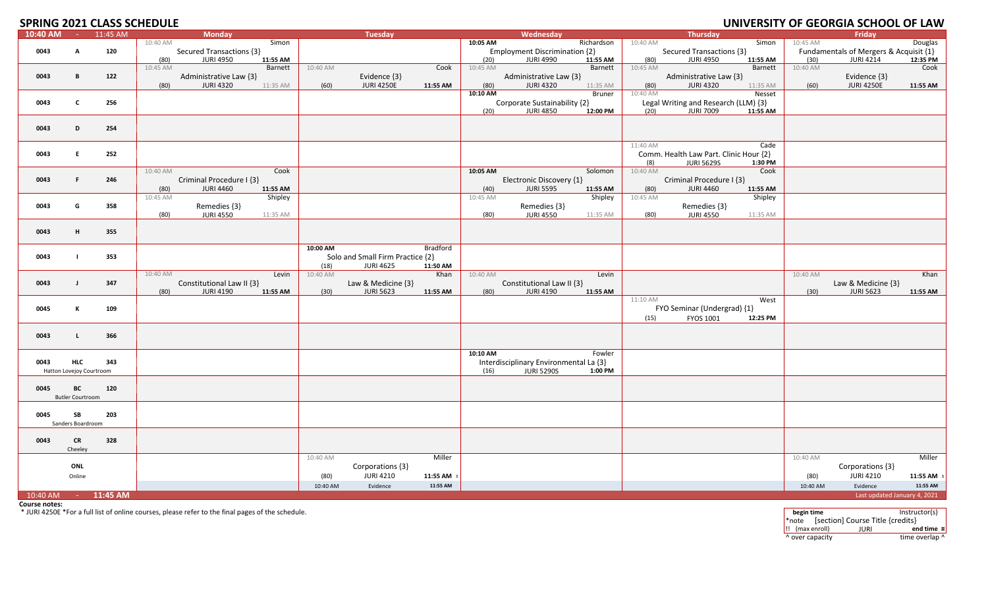# **SPRING 2021 CLASS SCHEDULE**

| $10:40$ AM | $\sim$                   | 11:45 AM | <b>Monday</b>             |                     | <b>Tuesday</b>                   |                 |          | Wednesday                              |            |          | <b>Thursday</b>                        |          |          | Friday                                 |            |
|------------|--------------------------|----------|---------------------------|---------------------|----------------------------------|-----------------|----------|----------------------------------------|------------|----------|----------------------------------------|----------|----------|----------------------------------------|------------|
|            |                          |          | 10:40 AM                  | Simon               |                                  |                 | 10:05 AM |                                        | Richardson | 10:40 AM |                                        | Simon    | 10:45 AM |                                        | Douglas    |
| 0043       | А                        | 120      | Secured Transactions {3}  |                     |                                  |                 |          | Employment Discrimination {2}          |            |          | Secured Transactions {3}               |          |          | Fundamentals of Mergers & Acquisit {1} |            |
|            |                          |          | <b>JURI 4950</b><br>(80)  | 11:55 AM            |                                  |                 | (20)     | <b>JURI 4990</b>                       | 11:55 AM   | (80)     | <b>JURI 4950</b>                       | 11:55 AM | (30)     | <b>JURI 4214</b>                       | 12:35 PM   |
|            |                          |          | 10:45 AM                  | Barnett<br>10:40 AM |                                  | Cook            | 10:45 AM |                                        | Barnett    | 10:45 AM |                                        | Barnett  | 10:40 AM |                                        | Cook       |
| 0043       | B                        | 122      | Administrative Law {3}    |                     | Evidence {3}                     |                 |          | Administrative Law {3}                 |            |          | Administrative Law {3}                 |          |          | Evidence {3}                           |            |
|            |                          |          | <b>JURI 4320</b><br>(80)  | 11:35 AM            | <b>JURI 4250E</b><br>(60)        | 11:55 AM        | (80)     | <b>JURI 4320</b>                       | 11:35 AM   | (80)     | <b>JURI 4320</b>                       | 11:35 AM | (60)     | <b>JURI 4250E</b>                      | 11:55 AM   |
|            |                          |          |                           |                     |                                  |                 | 10:10 AM |                                        | Bruner     | 10:40 AM |                                        | Nesset   |          |                                        |            |
| 0043       | C                        | 256      |                           |                     |                                  |                 |          | Corporate Sustainability {2}           |            |          | Legal Writing and Research (LLM) {3}   |          |          |                                        |            |
|            |                          |          |                           |                     |                                  |                 | (20)     | <b>JURI 4850</b>                       | 12:00 PM   | (20)     | <b>JURI 7009</b>                       | 11:55 AM |          |                                        |            |
|            |                          |          |                           |                     |                                  |                 |          |                                        |            |          |                                        |          |          |                                        |            |
| 0043       | D                        | 254      |                           |                     |                                  |                 |          |                                        |            |          |                                        |          |          |                                        |            |
|            |                          |          |                           |                     |                                  |                 |          |                                        |            |          |                                        |          |          |                                        |            |
|            |                          |          |                           |                     |                                  |                 |          |                                        |            | 11:40 AM |                                        | Cade     |          |                                        |            |
| 0043       | E                        | 252      |                           |                     |                                  |                 |          |                                        |            |          | Comm. Health Law Part. Clinic Hour {2} |          |          |                                        |            |
|            |                          |          |                           |                     |                                  |                 |          |                                        |            | (8)      | <b>JURI 5629S</b>                      | 1:30 PM  |          |                                        |            |
|            |                          |          | 10:40 AM                  | Cook                |                                  |                 | 10:05 AM |                                        | Solomon    | 10:40 AM |                                        | Cook     |          |                                        |            |
| 0043       | F.                       | 246      | Criminal Procedure I {3}  |                     |                                  |                 |          | Electronic Discovery {1}               |            |          | Criminal Procedure I {3}               |          |          |                                        |            |
|            |                          |          | <b>JURI 4460</b><br>(80)  | 11:55 AM            |                                  |                 | (40)     | <b>JURI 5595</b>                       | 11:55 AM   | (80)     | <b>JURI 4460</b>                       | 11:55 AM |          |                                        |            |
|            |                          |          | 10:45 AM                  | Shipley             |                                  |                 | 10:45 AM |                                        | Shipley    | 10:45 AM |                                        | Shipley  |          |                                        |            |
| 0043       | G                        | 358      | Remedies {3}              |                     |                                  |                 |          | Remedies {3}                           |            |          | Remedies {3}                           |          |          |                                        |            |
|            |                          |          | <b>JURI 4550</b><br>(80)  | 11:35 AM            |                                  |                 | (80)     | <b>JURI 4550</b>                       | 11:35 AM   | (80)     | <b>JURI 4550</b>                       | 11:35 AM |          |                                        |            |
|            |                          |          |                           |                     |                                  |                 |          |                                        |            |          |                                        |          |          |                                        |            |
| 0043       | Н.                       | 355      |                           |                     |                                  |                 |          |                                        |            |          |                                        |          |          |                                        |            |
|            |                          |          |                           |                     |                                  |                 |          |                                        |            |          |                                        |          |          |                                        |            |
|            |                          |          |                           | 10:00 AM            |                                  | <b>Bradford</b> |          |                                        |            |          |                                        |          |          |                                        |            |
| 0043       |                          | 353      |                           |                     | Solo and Small Firm Practice {2} |                 |          |                                        |            |          |                                        |          |          |                                        |            |
|            |                          |          |                           |                     | (18)<br><b>JURI 4625</b>         | 11:50 AM        |          |                                        |            |          |                                        |          |          |                                        |            |
|            |                          |          | 10:40 AM                  | 10:40 AM<br>Levin   |                                  | Khan            | 10:40 AM |                                        | Levin      |          |                                        |          | 10:40 AM |                                        | Khan       |
| 0043       | $\mathbf{I}$             | 347      | Constitutional Law II {3} |                     | Law & Medicine {3}               |                 |          | Constitutional Law II {3}              |            |          |                                        |          |          | Law & Medicine {3}                     |            |
|            |                          |          | <b>JURI 4190</b><br>(80)  | 11:55 AM            | (30)<br><b>JURI 5623</b>         | 11:55 AM        | (80)     | <b>JURI 4190</b>                       | 11:55 AM   | 11:10 AM |                                        | West     | (30)     | <b>JURI 5623</b>                       | 11:55 AM   |
| 0045       | К                        | 109      |                           |                     |                                  |                 |          |                                        |            |          | FYO Seminar (Undergrad) {1}            |          |          |                                        |            |
|            |                          |          |                           |                     |                                  |                 |          |                                        |            |          |                                        |          |          |                                        |            |
|            |                          |          |                           |                     |                                  |                 |          |                                        |            | (15)     | FYOS 1001                              | 12:25 PM |          |                                        |            |
|            |                          |          |                           |                     |                                  |                 |          |                                        |            |          |                                        |          |          |                                        |            |
| 0043       | L.                       | 366      |                           |                     |                                  |                 |          |                                        |            |          |                                        |          |          |                                        |            |
|            |                          |          |                           |                     |                                  |                 | 10:10 AM |                                        | Fowler     |          |                                        |          |          |                                        |            |
| 0043       | <b>HLC</b>               | 343      |                           |                     |                                  |                 |          | Interdisciplinary Environmental La {3} |            |          |                                        |          |          |                                        |            |
|            | Hatton Lovejoy Courtroom |          |                           |                     |                                  |                 | (16)     | <b>JURI 5290S</b>                      | 1:00 PM    |          |                                        |          |          |                                        |            |
|            |                          |          |                           |                     |                                  |                 |          |                                        |            |          |                                        |          |          |                                        |            |
| 0045       | BC                       | 120      |                           |                     |                                  |                 |          |                                        |            |          |                                        |          |          |                                        |            |
|            | <b>Butler Courtroom</b>  |          |                           |                     |                                  |                 |          |                                        |            |          |                                        |          |          |                                        |            |
|            |                          |          |                           |                     |                                  |                 |          |                                        |            |          |                                        |          |          |                                        |            |
| 0045       | SB                       | 203      |                           |                     |                                  |                 |          |                                        |            |          |                                        |          |          |                                        |            |
|            | Sanders Boardroom        |          |                           |                     |                                  |                 |          |                                        |            |          |                                        |          |          |                                        |            |
|            |                          |          |                           |                     |                                  |                 |          |                                        |            |          |                                        |          |          |                                        |            |
| 0043       | CR                       | 328      |                           |                     |                                  |                 |          |                                        |            |          |                                        |          |          |                                        |            |
|            | Cheeley                  |          |                           |                     |                                  |                 |          |                                        |            |          |                                        |          |          |                                        |            |
|            |                          |          |                           | 10:40 AM            |                                  | Miller          |          |                                        |            |          |                                        |          | 10:40 AM |                                        | Miller     |
|            | ONL                      |          |                           |                     | Corporations {3}                 |                 |          |                                        |            |          |                                        |          |          | Corporations {3}                       |            |
|            | Online                   |          |                           |                     | <b>JURI 4210</b><br>(80)         | 11:55 AM 1      |          |                                        |            |          |                                        |          | (80)     | <b>JURI 4210</b>                       | 11:55 AM 1 |
|            |                          |          |                           |                     | 10:40 AM<br>Evidence             | 11:55 AM        |          |                                        |            |          |                                        |          | 10:40 AM | Evidence                               | 11:55 AM   |
| 10:40 AM   | <b>Common</b>            | 11:45 AM |                           |                     |                                  |                 |          |                                        |            |          |                                        |          |          | Last updated January 4, 2021           |            |
|            |                          |          |                           |                     |                                  |                 |          |                                        |            |          |                                        |          |          |                                        |            |

**Course notes:**

\* JURI 4250E \*For a full list of online courses, please refer to the final pages of the schedule. **begin time** Instructor(s)

\*note [section] Course Title {credits} !! (max enroll) JURI **end time ¤** ^ over capacity time overlap ^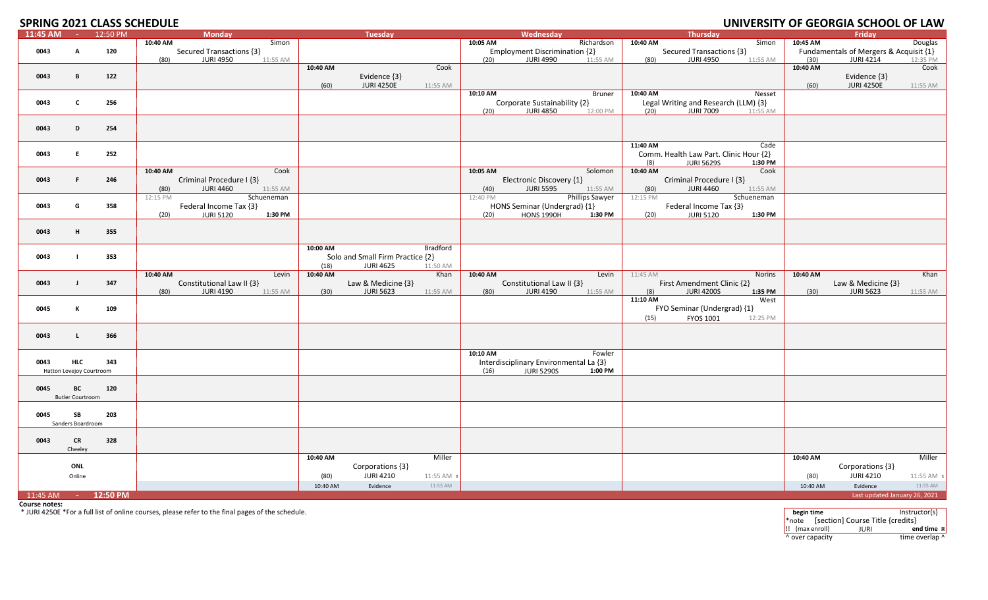### **2021 CLASS SCHEDULE UNIVERSITY OF GEORGIA SCHOOL OF LAW**

### **SPRING 2021 CLASS SCHEDULE**

| 11:45 AM       | <b>College</b>           | 12:50 PM |          | Monday                       |                  | <b>Tuesday</b>                   |                  |          | Wednesday                              |                        |            | Thursday                               |            |          | Friday                                 |            |
|----------------|--------------------------|----------|----------|------------------------------|------------------|----------------------------------|------------------|----------|----------------------------------------|------------------------|------------|----------------------------------------|------------|----------|----------------------------------------|------------|
|                |                          |          | 10:40 AM | Simon                        |                  |                                  |                  | 10:05 AM |                                        | Richardson             | 10:40 AM   |                                        | Simon      | 10:45 AM |                                        | Douglas    |
| 0043           | A                        | 120      |          | Secured Transactions {3}     |                  |                                  |                  |          | <b>Employment Discrimination {2}</b>   |                        |            | Secured Transactions {3}               |            |          | Fundamentals of Mergers & Acquisit {1} |            |
|                |                          |          | (80)     | <b>JURI 4950</b><br>11:55 AM |                  |                                  |                  | (20)     | <b>JURI 4990</b>                       | 11:55 AM               | (80)       | <b>JURI 4950</b>                       | 11:55 AM   | (30)     | <b>JURI 4214</b>                       | 12:35 PM   |
|                |                          |          |          |                              | 10:40 AM         |                                  | Cook             |          |                                        |                        |            |                                        |            | 10:40 AM |                                        | Cook       |
| 0043           | B                        | 122      |          |                              |                  | Evidence {3}                     |                  |          |                                        |                        |            |                                        |            |          | Evidence {3}                           |            |
|                |                          |          |          |                              | (60)             | <b>JURI 4250E</b>                | 11:55 AM         |          |                                        |                        |            |                                        |            | (60)     | <b>JURI 4250E</b>                      | 11:55 AM   |
|                |                          |          |          |                              |                  |                                  |                  | 10:10 AM |                                        | Bruner                 | $10:40$ AM |                                        | Nesset     |          |                                        |            |
| 0043           | $\mathsf{C}$             | 256      |          |                              |                  |                                  |                  |          | Corporate Sustainability {2}           |                        |            | Legal Writing and Research (LLM) {3}   |            |          |                                        |            |
|                |                          |          |          |                              |                  |                                  |                  | (20)     | <b>JURI 4850</b>                       | 12:00 PM               | (20)       | <b>JURI 7009</b>                       | 11:55 AM   |          |                                        |            |
|                | D                        |          |          |                              |                  |                                  |                  |          |                                        |                        |            |                                        |            |          |                                        |            |
| 0043           |                          | 254      |          |                              |                  |                                  |                  |          |                                        |                        |            |                                        |            |          |                                        |            |
|                |                          |          |          |                              |                  |                                  |                  |          |                                        |                        | 11:40 AM   |                                        | Cade       |          |                                        |            |
| 0043           | E                        | 252      |          |                              |                  |                                  |                  |          |                                        |                        |            | Comm. Health Law Part. Clinic Hour {2} |            |          |                                        |            |
|                |                          |          |          |                              |                  |                                  |                  |          |                                        |                        | (8)        | <b>JURI 5629S</b>                      | 1:30 PM    |          |                                        |            |
|                |                          |          | 10:40 AM | Cook                         |                  |                                  |                  | 10:05 AM |                                        | Solomon                | 10:40 AM   |                                        | Cook       |          |                                        |            |
| 0043           | F.                       | 246      |          | Criminal Procedure I {3}     |                  |                                  |                  |          | Electronic Discovery {1}               |                        |            | Criminal Procedure I {3}               |            |          |                                        |            |
|                |                          |          | (80)     | <b>JURI 4460</b><br>11:55 AM |                  |                                  |                  | (40)     | <b>JURI 5595</b>                       | 11:55 AM               | (80)       | <b>JURI 4460</b>                       | 11:55 AM   |          |                                        |            |
|                |                          |          | 12:15 PM | Schueneman                   |                  |                                  |                  | 12:40 PM |                                        | <b>Phillips Sawyer</b> | 12:15 PM   |                                        | Schueneman |          |                                        |            |
| 0043           | G                        | 358      |          | Federal Income Tax {3}       |                  |                                  |                  |          | HONS Seminar (Undergrad) {1}           |                        |            | Federal Income Tax {3}                 |            |          |                                        |            |
|                |                          |          | (20)     | <b>JURI 5120</b><br>1:30 PM  |                  |                                  |                  | (20)     | <b>HONS 1990H</b>                      | 1:30 PM                | (20)       | <b>JURI 5120</b>                       | 1:30 PM    |          |                                        |            |
|                |                          |          |          |                              |                  |                                  |                  |          |                                        |                        |            |                                        |            |          |                                        |            |
| 0043           | н.                       | 355      |          |                              |                  |                                  |                  |          |                                        |                        |            |                                        |            |          |                                        |            |
|                |                          |          |          |                              |                  |                                  |                  |          |                                        |                        |            |                                        |            |          |                                        |            |
|                |                          |          |          |                              | 10:00 AM         |                                  | Bradford         |          |                                        |                        |            |                                        |            |          |                                        |            |
| 0043           | $\mathbf{I}$             | 353      |          |                              |                  | Solo and Small Firm Practice {2} |                  |          |                                        |                        |            |                                        |            |          |                                        |            |
|                |                          |          | 10:40 AM | Levin                        | (18)<br>10:40 AM | <b>JURI 4625</b>                 | 11:50 AM<br>Khan | 10:40 AM |                                        | Levin                  | 11:45 AM   |                                        | Norins     | 10:40 AM |                                        | Khan       |
| 0043           | $\mathbf{J}$             | 347      |          | Constitutional Law II {3}    |                  | Law & Medicine {3}               |                  |          | Constitutional Law II {3}              |                        |            | First Amendment Clinic {2}             |            |          | Law & Medicine $\{3\}$                 |            |
|                |                          |          | (80)     | <b>JURI 4190</b><br>11:55 AM | (30)             | <b>JURI 5623</b>                 | 11:55 AM         | (80)     | <b>JURI 4190</b>                       | 11:55 AM               | (8)        | <b>JURI 4200S</b>                      | 1:35 PM    | (30)     | <b>JURI 5623</b>                       | 11:55 AM   |
|                |                          |          |          |                              |                  |                                  |                  |          |                                        |                        | 11:10 AM   |                                        | West       |          |                                        |            |
| 0045           | К                        | 109      |          |                              |                  |                                  |                  |          |                                        |                        |            | FYO Seminar (Undergrad) {1}            |            |          |                                        |            |
|                |                          |          |          |                              |                  |                                  |                  |          |                                        |                        | (15)       | FYOS 1001                              | 12:25 PM   |          |                                        |            |
|                |                          |          |          |                              |                  |                                  |                  |          |                                        |                        |            |                                        |            |          |                                        |            |
| 0043           | L.                       | 366      |          |                              |                  |                                  |                  |          |                                        |                        |            |                                        |            |          |                                        |            |
|                |                          |          |          |                              |                  |                                  |                  |          |                                        |                        |            |                                        |            |          |                                        |            |
|                |                          |          |          |                              |                  |                                  |                  | 10:10 AM |                                        | Fowler                 |            |                                        |            |          |                                        |            |
| 0043           | HLC                      | 343      |          |                              |                  |                                  |                  |          | Interdisciplinary Environmental La {3} |                        |            |                                        |            |          |                                        |            |
|                | Hatton Lovejoy Courtroom |          |          |                              |                  |                                  |                  | (16)     | <b>JURI 5290S</b>                      | 1:00 PM                |            |                                        |            |          |                                        |            |
|                |                          |          |          |                              |                  |                                  |                  |          |                                        |                        |            |                                        |            |          |                                        |            |
| 0045           | BC                       | 120      |          |                              |                  |                                  |                  |          |                                        |                        |            |                                        |            |          |                                        |            |
|                | <b>Butler Courtroom</b>  |          |          |                              |                  |                                  |                  |          |                                        |                        |            |                                        |            |          |                                        |            |
|                |                          |          |          |                              |                  |                                  |                  |          |                                        |                        |            |                                        |            |          |                                        |            |
| 0045           | SB                       | 203      |          |                              |                  |                                  |                  |          |                                        |                        |            |                                        |            |          |                                        |            |
|                | Sanders Boardroom        |          |          |                              |                  |                                  |                  |          |                                        |                        |            |                                        |            |          |                                        |            |
| 0043           | <b>CR</b>                | 328      |          |                              |                  |                                  |                  |          |                                        |                        |            |                                        |            |          |                                        |            |
|                | Cheeley                  |          |          |                              |                  |                                  |                  |          |                                        |                        |            |                                        |            |          |                                        |            |
|                |                          |          |          |                              | 10:40 AM         |                                  | Miller           |          |                                        |                        |            |                                        |            | 10:40 AM |                                        | Miller     |
|                | ONL                      |          |          |                              |                  | Corporations {3}                 |                  |          |                                        |                        |            |                                        |            |          | Corporations {3}                       |            |
|                | Online                   |          |          |                              | (80)             | <b>JURI 4210</b>                 | 11:55 AM 1       |          |                                        |                        |            |                                        |            | (80)     | <b>JURI 4210</b>                       | 11:55 AM 1 |
|                |                          |          |          |                              | 10:40 AM         | Evidence                         | 11:55 AM         |          |                                        |                        |            |                                        |            | 10:40 AM | Evidence                               | 11:55 AM   |
| $11:45$ AM $-$ |                          | 12:50 PM |          |                              |                  |                                  |                  |          |                                        |                        |            |                                        |            |          | Last updated January 26, 2021          |            |
|                |                          |          |          |                              |                  |                                  |                  |          |                                        |                        |            |                                        |            |          |                                        |            |

**Course notes:**

\* JURI 4250E \*For <sup>a</sup> full list of online courses, please refer to the final pages of the schedule. **begin time** Instructor(s)

\*note [section] Course Title {credits} !! (max enroll) JURI **end time ¤** ^ over capacity  $\bullet$  time overlap  $\bullet$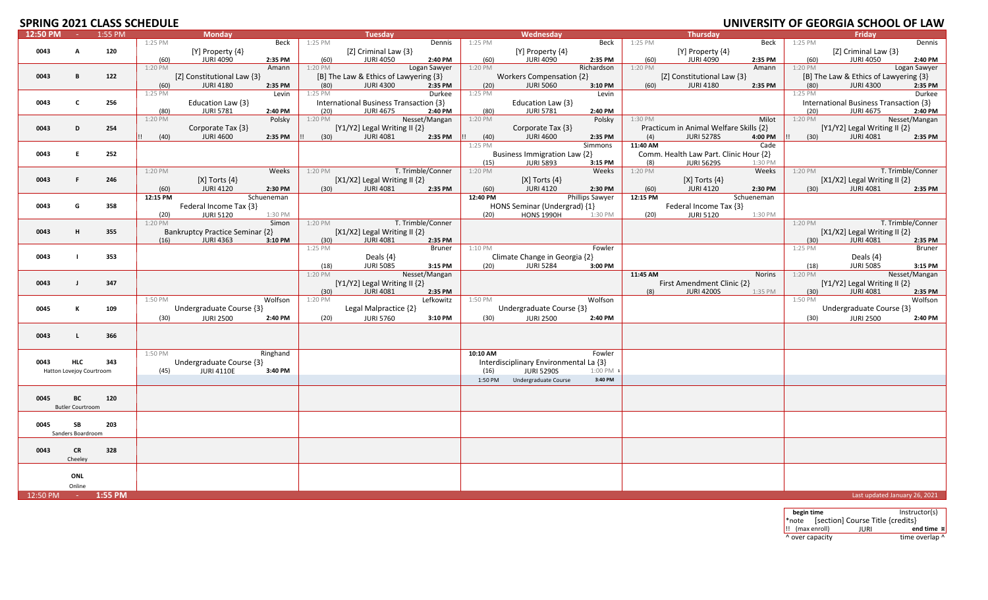### **2021 CLASS SCHEDULE UNIVERSITY OF GEORGIA SCHOOL OF LAW**

# **SPRING 2021 CLASS SCHEDULE**

| Beck<br>Dennis<br>1:25 PM<br>Beck<br>1:25 PM<br>Dennis<br>1:25 PM<br>Beck<br>1:25 PM<br>1:25 PM<br>[Z] Criminal Law {3}<br>[Z] Criminal Law {3}<br>$[Y]$ Property $\{4\}$<br>[Y] Property {4}<br>[Y] Property {4}<br>0043<br>120<br>A<br><b>JURI 4090</b><br>(60)<br><b>JURI 4050</b><br>2:40 PM<br>(60)<br>(60)<br>(60)<br>2:40 PM<br>(60)<br><b>JURI 4090</b><br>2:35 PM<br><b>JURI 4090</b><br>2:35 PM<br>2:35 PM<br><b>JURI 4050</b><br>Logan Sawyer<br>Richardson<br>1:20 PM<br>1:20 PM<br>1:20 PM<br>1:20 PM<br>1:20 PM<br>Logan Sawyer<br>Amann<br>Amann<br>[Z] Constitutional Law {3}<br>[B] The Law & Ethics of Lawyering {3}<br>Workers Compensation {2}<br>[Z] Constitutional Law {3}<br>[B] The Law & Ethics of Lawyering {3}<br>0043<br>122<br>B<br><b>JURI 4180</b><br><b>JURI 4300</b><br><b>JURI 5060</b><br><b>JURI 4180</b><br>(80)<br><b>JURI 4300</b><br>2:35 PM<br>(80)<br>2:35 PM<br>(20)<br>3:10 PM<br>(60)<br>2:35 PM<br>2:35 PM<br>(60)<br>1:25 PM<br>1:25 PM<br>Levin<br>1:25 PM<br>Durkee<br>1:25 PM<br>Levin<br>Durkee<br>Education Law {3}<br>0043<br>C<br>256<br>Education Law {3}<br>International Business Transaction {3}<br>International Business Transaction {3}<br><b>JURI 5781</b><br>2:40 PM<br><b>JURI 4675</b><br>2:40 PM<br>(80)<br><b>JURI 5781</b><br>2:40 PM<br><b>JURI 4675</b><br>2:40 PM<br>(80)<br>(20)<br>(20)<br>1:20 PM<br>Nesset/Mangan<br>1:20 PM<br>1:30 PM<br>Milot<br>1:20 PM<br>Nesset/Mangan<br>Polsky<br>1:20 PM<br>Polsky<br>$[Y1/Y2]$ Legal Writing II $\{2\}$<br>Practicum in Animal Welfare Skills {2}<br>$[Y1/Y2]$ Legal Writing II $\{2\}$<br>0043<br>254<br>Corporate Tax {3}<br>Corporate Tax {3}<br>D<br><b>JURI 4600</b><br><b>JURI 4081</b><br><b>JURI 4600</b><br><b>JURI 4081</b><br>2:35 PM<br>(30)<br>2:35 PM<br>(40)<br>2:35 PM<br>(4)<br><b>JURI 5278S</b><br>4:00 PM<br>2:35 PM<br>(40)<br>(30)<br>$1:25$ PM<br>11:40 AM<br><b>Simmons</b><br>Cade<br>252<br>Business Immigration Law {2}<br>Comm. Health Law Part. Clinic Hour {2}<br>0043<br>E.<br><b>JURI 5893</b><br><b>JURI 5629S</b><br>(15)<br>3:15 PM<br>(8)<br>1:30 PM<br>1:20 PM<br>T. Trimble/Conner<br>1:20 PM<br>1:20 PM<br>T. Trimble/Conner<br>1:20 PM<br>Weeks<br>Weeks<br>Weeks<br>1:20 PM<br>[X1/X2] Legal Writing II {2}<br>[ $X1/X2$ ] Legal Writing II $\{2\}$<br>0043<br>F.<br>$[X]$ Torts $\{4\}$<br>[X] Torts $\{4\}$<br>$[X]$ Torts $\{4\}$<br>246<br><b>JURI 4120</b><br>2:30 PM<br><b>JURI 4081</b><br><b>JURI 4120</b><br>2:30 PM<br><b>JURI 4120</b><br>2:30 PM<br>2:35 PM<br>(60)<br>(30)<br>2:35 PM<br>(60)<br>(60)<br>(30)<br>JURI 4081<br>12:15 PM<br>Schueneman<br>12:40 PM<br>Phillips Sawyer<br>12:15 PM<br>Schueneman<br>0043<br>Federal Income Tax {3}<br>HONS Seminar (Undergrad) {1}<br>Federal Income Tax {3}<br>G<br>358<br><b>JURI 5120</b><br><b>HONS 1990H</b><br><b>JURI 5120</b><br>(20)<br>1:30 PM<br>(20)<br>1:30 PM<br>(20)<br>1:30 PM<br>Simon<br><b>Example 7 T. Trimble/Conner</b><br>1:20 PM T. Trimble/Conner<br>1:20 PM<br>1:20 PM<br><b>Bankruptcy Practice Seminar {2}</b><br>[X1/X2] Legal Writing II {2}<br>[ $X1/X2$ ] Legal Writing II $\{2\}$<br>0043<br>H<br>355<br><b>JURI 4081</b><br>(16)<br><b>JURI 4363</b><br>3:10 PM<br>(30)<br>2:35 PM<br>(30)<br><b>JURI 4081</b><br>2:35 PM<br>1:25 PM<br>1:10 PM<br>Bruner<br>Fowler<br>1:25 PM<br>Bruner<br>Climate Change in Georgia {2}<br>0043<br>353<br>Deals $\{4\}$<br>Deals $\{4\}$<br><b>JURI 5085</b><br><b>JURI 5284</b><br><b>JURI 5085</b><br>(18)<br>3:15 PM<br>(20)<br>3:00 PM<br>(18)<br>3:15 PM<br>Nesset/Mangan<br>Nesset/Mangan<br>1:20 PM<br>11:45 AM<br><b>Norins</b><br>1:20 PM<br>[Y1/Y2] Legal Writing II {2}<br>[Y1/Y2] Legal Writing II {2}<br>First Amendment Clinic {2}<br>0043<br>347<br>$\blacksquare$<br><b>JURI 4081</b><br><b>JURI 4081</b><br>(30)<br>2:35 PM<br>(8)<br><b>JURI 4200S</b><br>1:35 PM<br>(30)<br>2:35 PM<br>1:50 PM<br>Wolfson<br>1:20 PM<br>Lefkowitz<br>1:50 PM<br>Wolfson<br>1:50 PM<br>Wolfson<br>Undergraduate Course {3}<br>Undergraduate Course {3}<br>Undergraduate Course {3}<br>0045<br>к<br>109<br>Legal Malpractice {2}<br><b>JURI 2500</b><br><b>JURI 5760</b><br><b>JURI 2500</b><br><b>JURI 2500</b><br>(30)<br>2:40 PM<br>(20)<br>3:10 PM<br>(30)<br>2:40 PM<br>(30)<br>2:40 PM<br>0043<br>366<br>л.<br>Ringhand<br>1:50 PM<br>10:10 AM<br>Fowler<br>Undergraduate Course {3}<br>Interdisciplinary Environmental La {3}<br><b>HLC</b><br>343<br>0043<br><b>JURI 4110E</b><br><b>JURI 5290S</b><br>3:40 PM<br>(16)<br>$1:00$ PM $1$<br>Hatton Lovejoy Courtroom<br>(45)<br>Undergraduate Course<br>3:40 PM<br>1:50 PM<br>BC<br>0045<br>120<br><b>Butler Courtroom</b><br>0045<br>SB<br>203<br>Sanders Boardroom<br>0043<br><b>CR</b><br>328<br>Cheeley<br>ONL | 12:50 PM | <b>Carl Co</b> | 1:55 PM | <b>Monday</b> |  | Tuesday |  | Wednesday |  | <b>Thursday</b> |  | Friday |  |
|------------------------------------------------------------------------------------------------------------------------------------------------------------------------------------------------------------------------------------------------------------------------------------------------------------------------------------------------------------------------------------------------------------------------------------------------------------------------------------------------------------------------------------------------------------------------------------------------------------------------------------------------------------------------------------------------------------------------------------------------------------------------------------------------------------------------------------------------------------------------------------------------------------------------------------------------------------------------------------------------------------------------------------------------------------------------------------------------------------------------------------------------------------------------------------------------------------------------------------------------------------------------------------------------------------------------------------------------------------------------------------------------------------------------------------------------------------------------------------------------------------------------------------------------------------------------------------------------------------------------------------------------------------------------------------------------------------------------------------------------------------------------------------------------------------------------------------------------------------------------------------------------------------------------------------------------------------------------------------------------------------------------------------------------------------------------------------------------------------------------------------------------------------------------------------------------------------------------------------------------------------------------------------------------------------------------------------------------------------------------------------------------------------------------------------------------------------------------------------------------------------------------------------------------------------------------------------------------------------------------------------------------------------------------------------------------------------------------------------------------------------------------------------------------------------------------------------------------------------------------------------------------------------------------------------------------------------------------------------------------------------------------------------------------------------------------------------------------------------------------------------------------------------------------------------------------------------------------------------------------------------------------------------------------------------------------------------------------------------------------------------------------------------------------------------------------------------------------------------------------------------------------------------------------------------------------------------------------------------------------------------------------------------------------------------------------------------------------------------------------------------------------------------------------------------------------------------------------------------------------------------------------------------------------------------------------------------------------------------------------------------------------------------------------------------------------------------------------------------------------------------------------------------------------------------------------------------------------------------------------------------------------------------------------------------------------------------------------------------------------------------------------------------------------------------------------------------------------------------------------------------------------------------------------------------------------------------------------------------------------------------------------------------------------------------------------------------------------------------------------------------------------|----------|----------------|---------|---------------|--|---------|--|-----------|--|-----------------|--|--------|--|
|                                                                                                                                                                                                                                                                                                                                                                                                                                                                                                                                                                                                                                                                                                                                                                                                                                                                                                                                                                                                                                                                                                                                                                                                                                                                                                                                                                                                                                                                                                                                                                                                                                                                                                                                                                                                                                                                                                                                                                                                                                                                                                                                                                                                                                                                                                                                                                                                                                                                                                                                                                                                                                                                                                                                                                                                                                                                                                                                                                                                                                                                                                                                                                                                                                                                                                                                                                                                                                                                                                                                                                                                                                                                                                                                                                                                                                                                                                                                                                                                                                                                                                                                                                                                                                                                                                                                                                                                                                                                                                                                                                                                                                                                                                                                                                        |          |                |         |               |  |         |  |           |  |                 |  |        |  |
|                                                                                                                                                                                                                                                                                                                                                                                                                                                                                                                                                                                                                                                                                                                                                                                                                                                                                                                                                                                                                                                                                                                                                                                                                                                                                                                                                                                                                                                                                                                                                                                                                                                                                                                                                                                                                                                                                                                                                                                                                                                                                                                                                                                                                                                                                                                                                                                                                                                                                                                                                                                                                                                                                                                                                                                                                                                                                                                                                                                                                                                                                                                                                                                                                                                                                                                                                                                                                                                                                                                                                                                                                                                                                                                                                                                                                                                                                                                                                                                                                                                                                                                                                                                                                                                                                                                                                                                                                                                                                                                                                                                                                                                                                                                                                                        |          |                |         |               |  |         |  |           |  |                 |  |        |  |
|                                                                                                                                                                                                                                                                                                                                                                                                                                                                                                                                                                                                                                                                                                                                                                                                                                                                                                                                                                                                                                                                                                                                                                                                                                                                                                                                                                                                                                                                                                                                                                                                                                                                                                                                                                                                                                                                                                                                                                                                                                                                                                                                                                                                                                                                                                                                                                                                                                                                                                                                                                                                                                                                                                                                                                                                                                                                                                                                                                                                                                                                                                                                                                                                                                                                                                                                                                                                                                                                                                                                                                                                                                                                                                                                                                                                                                                                                                                                                                                                                                                                                                                                                                                                                                                                                                                                                                                                                                                                                                                                                                                                                                                                                                                                                                        |          |                |         |               |  |         |  |           |  |                 |  |        |  |
|                                                                                                                                                                                                                                                                                                                                                                                                                                                                                                                                                                                                                                                                                                                                                                                                                                                                                                                                                                                                                                                                                                                                                                                                                                                                                                                                                                                                                                                                                                                                                                                                                                                                                                                                                                                                                                                                                                                                                                                                                                                                                                                                                                                                                                                                                                                                                                                                                                                                                                                                                                                                                                                                                                                                                                                                                                                                                                                                                                                                                                                                                                                                                                                                                                                                                                                                                                                                                                                                                                                                                                                                                                                                                                                                                                                                                                                                                                                                                                                                                                                                                                                                                                                                                                                                                                                                                                                                                                                                                                                                                                                                                                                                                                                                                                        |          |                |         |               |  |         |  |           |  |                 |  |        |  |
|                                                                                                                                                                                                                                                                                                                                                                                                                                                                                                                                                                                                                                                                                                                                                                                                                                                                                                                                                                                                                                                                                                                                                                                                                                                                                                                                                                                                                                                                                                                                                                                                                                                                                                                                                                                                                                                                                                                                                                                                                                                                                                                                                                                                                                                                                                                                                                                                                                                                                                                                                                                                                                                                                                                                                                                                                                                                                                                                                                                                                                                                                                                                                                                                                                                                                                                                                                                                                                                                                                                                                                                                                                                                                                                                                                                                                                                                                                                                                                                                                                                                                                                                                                                                                                                                                                                                                                                                                                                                                                                                                                                                                                                                                                                                                                        |          |                |         |               |  |         |  |           |  |                 |  |        |  |
|                                                                                                                                                                                                                                                                                                                                                                                                                                                                                                                                                                                                                                                                                                                                                                                                                                                                                                                                                                                                                                                                                                                                                                                                                                                                                                                                                                                                                                                                                                                                                                                                                                                                                                                                                                                                                                                                                                                                                                                                                                                                                                                                                                                                                                                                                                                                                                                                                                                                                                                                                                                                                                                                                                                                                                                                                                                                                                                                                                                                                                                                                                                                                                                                                                                                                                                                                                                                                                                                                                                                                                                                                                                                                                                                                                                                                                                                                                                                                                                                                                                                                                                                                                                                                                                                                                                                                                                                                                                                                                                                                                                                                                                                                                                                                                        |          |                |         |               |  |         |  |           |  |                 |  |        |  |
|                                                                                                                                                                                                                                                                                                                                                                                                                                                                                                                                                                                                                                                                                                                                                                                                                                                                                                                                                                                                                                                                                                                                                                                                                                                                                                                                                                                                                                                                                                                                                                                                                                                                                                                                                                                                                                                                                                                                                                                                                                                                                                                                                                                                                                                                                                                                                                                                                                                                                                                                                                                                                                                                                                                                                                                                                                                                                                                                                                                                                                                                                                                                                                                                                                                                                                                                                                                                                                                                                                                                                                                                                                                                                                                                                                                                                                                                                                                                                                                                                                                                                                                                                                                                                                                                                                                                                                                                                                                                                                                                                                                                                                                                                                                                                                        |          |                |         |               |  |         |  |           |  |                 |  |        |  |
|                                                                                                                                                                                                                                                                                                                                                                                                                                                                                                                                                                                                                                                                                                                                                                                                                                                                                                                                                                                                                                                                                                                                                                                                                                                                                                                                                                                                                                                                                                                                                                                                                                                                                                                                                                                                                                                                                                                                                                                                                                                                                                                                                                                                                                                                                                                                                                                                                                                                                                                                                                                                                                                                                                                                                                                                                                                                                                                                                                                                                                                                                                                                                                                                                                                                                                                                                                                                                                                                                                                                                                                                                                                                                                                                                                                                                                                                                                                                                                                                                                                                                                                                                                                                                                                                                                                                                                                                                                                                                                                                                                                                                                                                                                                                                                        |          |                |         |               |  |         |  |           |  |                 |  |        |  |
|                                                                                                                                                                                                                                                                                                                                                                                                                                                                                                                                                                                                                                                                                                                                                                                                                                                                                                                                                                                                                                                                                                                                                                                                                                                                                                                                                                                                                                                                                                                                                                                                                                                                                                                                                                                                                                                                                                                                                                                                                                                                                                                                                                                                                                                                                                                                                                                                                                                                                                                                                                                                                                                                                                                                                                                                                                                                                                                                                                                                                                                                                                                                                                                                                                                                                                                                                                                                                                                                                                                                                                                                                                                                                                                                                                                                                                                                                                                                                                                                                                                                                                                                                                                                                                                                                                                                                                                                                                                                                                                                                                                                                                                                                                                                                                        |          |                |         |               |  |         |  |           |  |                 |  |        |  |
|                                                                                                                                                                                                                                                                                                                                                                                                                                                                                                                                                                                                                                                                                                                                                                                                                                                                                                                                                                                                                                                                                                                                                                                                                                                                                                                                                                                                                                                                                                                                                                                                                                                                                                                                                                                                                                                                                                                                                                                                                                                                                                                                                                                                                                                                                                                                                                                                                                                                                                                                                                                                                                                                                                                                                                                                                                                                                                                                                                                                                                                                                                                                                                                                                                                                                                                                                                                                                                                                                                                                                                                                                                                                                                                                                                                                                                                                                                                                                                                                                                                                                                                                                                                                                                                                                                                                                                                                                                                                                                                                                                                                                                                                                                                                                                        |          |                |         |               |  |         |  |           |  |                 |  |        |  |
|                                                                                                                                                                                                                                                                                                                                                                                                                                                                                                                                                                                                                                                                                                                                                                                                                                                                                                                                                                                                                                                                                                                                                                                                                                                                                                                                                                                                                                                                                                                                                                                                                                                                                                                                                                                                                                                                                                                                                                                                                                                                                                                                                                                                                                                                                                                                                                                                                                                                                                                                                                                                                                                                                                                                                                                                                                                                                                                                                                                                                                                                                                                                                                                                                                                                                                                                                                                                                                                                                                                                                                                                                                                                                                                                                                                                                                                                                                                                                                                                                                                                                                                                                                                                                                                                                                                                                                                                                                                                                                                                                                                                                                                                                                                                                                        |          |                |         |               |  |         |  |           |  |                 |  |        |  |
|                                                                                                                                                                                                                                                                                                                                                                                                                                                                                                                                                                                                                                                                                                                                                                                                                                                                                                                                                                                                                                                                                                                                                                                                                                                                                                                                                                                                                                                                                                                                                                                                                                                                                                                                                                                                                                                                                                                                                                                                                                                                                                                                                                                                                                                                                                                                                                                                                                                                                                                                                                                                                                                                                                                                                                                                                                                                                                                                                                                                                                                                                                                                                                                                                                                                                                                                                                                                                                                                                                                                                                                                                                                                                                                                                                                                                                                                                                                                                                                                                                                                                                                                                                                                                                                                                                                                                                                                                                                                                                                                                                                                                                                                                                                                                                        |          |                |         |               |  |         |  |           |  |                 |  |        |  |
|                                                                                                                                                                                                                                                                                                                                                                                                                                                                                                                                                                                                                                                                                                                                                                                                                                                                                                                                                                                                                                                                                                                                                                                                                                                                                                                                                                                                                                                                                                                                                                                                                                                                                                                                                                                                                                                                                                                                                                                                                                                                                                                                                                                                                                                                                                                                                                                                                                                                                                                                                                                                                                                                                                                                                                                                                                                                                                                                                                                                                                                                                                                                                                                                                                                                                                                                                                                                                                                                                                                                                                                                                                                                                                                                                                                                                                                                                                                                                                                                                                                                                                                                                                                                                                                                                                                                                                                                                                                                                                                                                                                                                                                                                                                                                                        |          |                |         |               |  |         |  |           |  |                 |  |        |  |
|                                                                                                                                                                                                                                                                                                                                                                                                                                                                                                                                                                                                                                                                                                                                                                                                                                                                                                                                                                                                                                                                                                                                                                                                                                                                                                                                                                                                                                                                                                                                                                                                                                                                                                                                                                                                                                                                                                                                                                                                                                                                                                                                                                                                                                                                                                                                                                                                                                                                                                                                                                                                                                                                                                                                                                                                                                                                                                                                                                                                                                                                                                                                                                                                                                                                                                                                                                                                                                                                                                                                                                                                                                                                                                                                                                                                                                                                                                                                                                                                                                                                                                                                                                                                                                                                                                                                                                                                                                                                                                                                                                                                                                                                                                                                                                        |          |                |         |               |  |         |  |           |  |                 |  |        |  |
|                                                                                                                                                                                                                                                                                                                                                                                                                                                                                                                                                                                                                                                                                                                                                                                                                                                                                                                                                                                                                                                                                                                                                                                                                                                                                                                                                                                                                                                                                                                                                                                                                                                                                                                                                                                                                                                                                                                                                                                                                                                                                                                                                                                                                                                                                                                                                                                                                                                                                                                                                                                                                                                                                                                                                                                                                                                                                                                                                                                                                                                                                                                                                                                                                                                                                                                                                                                                                                                                                                                                                                                                                                                                                                                                                                                                                                                                                                                                                                                                                                                                                                                                                                                                                                                                                                                                                                                                                                                                                                                                                                                                                                                                                                                                                                        |          |                |         |               |  |         |  |           |  |                 |  |        |  |
|                                                                                                                                                                                                                                                                                                                                                                                                                                                                                                                                                                                                                                                                                                                                                                                                                                                                                                                                                                                                                                                                                                                                                                                                                                                                                                                                                                                                                                                                                                                                                                                                                                                                                                                                                                                                                                                                                                                                                                                                                                                                                                                                                                                                                                                                                                                                                                                                                                                                                                                                                                                                                                                                                                                                                                                                                                                                                                                                                                                                                                                                                                                                                                                                                                                                                                                                                                                                                                                                                                                                                                                                                                                                                                                                                                                                                                                                                                                                                                                                                                                                                                                                                                                                                                                                                                                                                                                                                                                                                                                                                                                                                                                                                                                                                                        |          |                |         |               |  |         |  |           |  |                 |  |        |  |
|                                                                                                                                                                                                                                                                                                                                                                                                                                                                                                                                                                                                                                                                                                                                                                                                                                                                                                                                                                                                                                                                                                                                                                                                                                                                                                                                                                                                                                                                                                                                                                                                                                                                                                                                                                                                                                                                                                                                                                                                                                                                                                                                                                                                                                                                                                                                                                                                                                                                                                                                                                                                                                                                                                                                                                                                                                                                                                                                                                                                                                                                                                                                                                                                                                                                                                                                                                                                                                                                                                                                                                                                                                                                                                                                                                                                                                                                                                                                                                                                                                                                                                                                                                                                                                                                                                                                                                                                                                                                                                                                                                                                                                                                                                                                                                        |          |                |         |               |  |         |  |           |  |                 |  |        |  |
|                                                                                                                                                                                                                                                                                                                                                                                                                                                                                                                                                                                                                                                                                                                                                                                                                                                                                                                                                                                                                                                                                                                                                                                                                                                                                                                                                                                                                                                                                                                                                                                                                                                                                                                                                                                                                                                                                                                                                                                                                                                                                                                                                                                                                                                                                                                                                                                                                                                                                                                                                                                                                                                                                                                                                                                                                                                                                                                                                                                                                                                                                                                                                                                                                                                                                                                                                                                                                                                                                                                                                                                                                                                                                                                                                                                                                                                                                                                                                                                                                                                                                                                                                                                                                                                                                                                                                                                                                                                                                                                                                                                                                                                                                                                                                                        |          |                |         |               |  |         |  |           |  |                 |  |        |  |
|                                                                                                                                                                                                                                                                                                                                                                                                                                                                                                                                                                                                                                                                                                                                                                                                                                                                                                                                                                                                                                                                                                                                                                                                                                                                                                                                                                                                                                                                                                                                                                                                                                                                                                                                                                                                                                                                                                                                                                                                                                                                                                                                                                                                                                                                                                                                                                                                                                                                                                                                                                                                                                                                                                                                                                                                                                                                                                                                                                                                                                                                                                                                                                                                                                                                                                                                                                                                                                                                                                                                                                                                                                                                                                                                                                                                                                                                                                                                                                                                                                                                                                                                                                                                                                                                                                                                                                                                                                                                                                                                                                                                                                                                                                                                                                        |          |                |         |               |  |         |  |           |  |                 |  |        |  |
|                                                                                                                                                                                                                                                                                                                                                                                                                                                                                                                                                                                                                                                                                                                                                                                                                                                                                                                                                                                                                                                                                                                                                                                                                                                                                                                                                                                                                                                                                                                                                                                                                                                                                                                                                                                                                                                                                                                                                                                                                                                                                                                                                                                                                                                                                                                                                                                                                                                                                                                                                                                                                                                                                                                                                                                                                                                                                                                                                                                                                                                                                                                                                                                                                                                                                                                                                                                                                                                                                                                                                                                                                                                                                                                                                                                                                                                                                                                                                                                                                                                                                                                                                                                                                                                                                                                                                                                                                                                                                                                                                                                                                                                                                                                                                                        |          |                |         |               |  |         |  |           |  |                 |  |        |  |
|                                                                                                                                                                                                                                                                                                                                                                                                                                                                                                                                                                                                                                                                                                                                                                                                                                                                                                                                                                                                                                                                                                                                                                                                                                                                                                                                                                                                                                                                                                                                                                                                                                                                                                                                                                                                                                                                                                                                                                                                                                                                                                                                                                                                                                                                                                                                                                                                                                                                                                                                                                                                                                                                                                                                                                                                                                                                                                                                                                                                                                                                                                                                                                                                                                                                                                                                                                                                                                                                                                                                                                                                                                                                                                                                                                                                                                                                                                                                                                                                                                                                                                                                                                                                                                                                                                                                                                                                                                                                                                                                                                                                                                                                                                                                                                        |          |                |         |               |  |         |  |           |  |                 |  |        |  |
|                                                                                                                                                                                                                                                                                                                                                                                                                                                                                                                                                                                                                                                                                                                                                                                                                                                                                                                                                                                                                                                                                                                                                                                                                                                                                                                                                                                                                                                                                                                                                                                                                                                                                                                                                                                                                                                                                                                                                                                                                                                                                                                                                                                                                                                                                                                                                                                                                                                                                                                                                                                                                                                                                                                                                                                                                                                                                                                                                                                                                                                                                                                                                                                                                                                                                                                                                                                                                                                                                                                                                                                                                                                                                                                                                                                                                                                                                                                                                                                                                                                                                                                                                                                                                                                                                                                                                                                                                                                                                                                                                                                                                                                                                                                                                                        |          |                |         |               |  |         |  |           |  |                 |  |        |  |
|                                                                                                                                                                                                                                                                                                                                                                                                                                                                                                                                                                                                                                                                                                                                                                                                                                                                                                                                                                                                                                                                                                                                                                                                                                                                                                                                                                                                                                                                                                                                                                                                                                                                                                                                                                                                                                                                                                                                                                                                                                                                                                                                                                                                                                                                                                                                                                                                                                                                                                                                                                                                                                                                                                                                                                                                                                                                                                                                                                                                                                                                                                                                                                                                                                                                                                                                                                                                                                                                                                                                                                                                                                                                                                                                                                                                                                                                                                                                                                                                                                                                                                                                                                                                                                                                                                                                                                                                                                                                                                                                                                                                                                                                                                                                                                        |          |                |         |               |  |         |  |           |  |                 |  |        |  |
|                                                                                                                                                                                                                                                                                                                                                                                                                                                                                                                                                                                                                                                                                                                                                                                                                                                                                                                                                                                                                                                                                                                                                                                                                                                                                                                                                                                                                                                                                                                                                                                                                                                                                                                                                                                                                                                                                                                                                                                                                                                                                                                                                                                                                                                                                                                                                                                                                                                                                                                                                                                                                                                                                                                                                                                                                                                                                                                                                                                                                                                                                                                                                                                                                                                                                                                                                                                                                                                                                                                                                                                                                                                                                                                                                                                                                                                                                                                                                                                                                                                                                                                                                                                                                                                                                                                                                                                                                                                                                                                                                                                                                                                                                                                                                                        |          |                |         |               |  |         |  |           |  |                 |  |        |  |
|                                                                                                                                                                                                                                                                                                                                                                                                                                                                                                                                                                                                                                                                                                                                                                                                                                                                                                                                                                                                                                                                                                                                                                                                                                                                                                                                                                                                                                                                                                                                                                                                                                                                                                                                                                                                                                                                                                                                                                                                                                                                                                                                                                                                                                                                                                                                                                                                                                                                                                                                                                                                                                                                                                                                                                                                                                                                                                                                                                                                                                                                                                                                                                                                                                                                                                                                                                                                                                                                                                                                                                                                                                                                                                                                                                                                                                                                                                                                                                                                                                                                                                                                                                                                                                                                                                                                                                                                                                                                                                                                                                                                                                                                                                                                                                        |          |                |         |               |  |         |  |           |  |                 |  |        |  |
|                                                                                                                                                                                                                                                                                                                                                                                                                                                                                                                                                                                                                                                                                                                                                                                                                                                                                                                                                                                                                                                                                                                                                                                                                                                                                                                                                                                                                                                                                                                                                                                                                                                                                                                                                                                                                                                                                                                                                                                                                                                                                                                                                                                                                                                                                                                                                                                                                                                                                                                                                                                                                                                                                                                                                                                                                                                                                                                                                                                                                                                                                                                                                                                                                                                                                                                                                                                                                                                                                                                                                                                                                                                                                                                                                                                                                                                                                                                                                                                                                                                                                                                                                                                                                                                                                                                                                                                                                                                                                                                                                                                                                                                                                                                                                                        |          |                |         |               |  |         |  |           |  |                 |  |        |  |
|                                                                                                                                                                                                                                                                                                                                                                                                                                                                                                                                                                                                                                                                                                                                                                                                                                                                                                                                                                                                                                                                                                                                                                                                                                                                                                                                                                                                                                                                                                                                                                                                                                                                                                                                                                                                                                                                                                                                                                                                                                                                                                                                                                                                                                                                                                                                                                                                                                                                                                                                                                                                                                                                                                                                                                                                                                                                                                                                                                                                                                                                                                                                                                                                                                                                                                                                                                                                                                                                                                                                                                                                                                                                                                                                                                                                                                                                                                                                                                                                                                                                                                                                                                                                                                                                                                                                                                                                                                                                                                                                                                                                                                                                                                                                                                        |          |                |         |               |  |         |  |           |  |                 |  |        |  |
|                                                                                                                                                                                                                                                                                                                                                                                                                                                                                                                                                                                                                                                                                                                                                                                                                                                                                                                                                                                                                                                                                                                                                                                                                                                                                                                                                                                                                                                                                                                                                                                                                                                                                                                                                                                                                                                                                                                                                                                                                                                                                                                                                                                                                                                                                                                                                                                                                                                                                                                                                                                                                                                                                                                                                                                                                                                                                                                                                                                                                                                                                                                                                                                                                                                                                                                                                                                                                                                                                                                                                                                                                                                                                                                                                                                                                                                                                                                                                                                                                                                                                                                                                                                                                                                                                                                                                                                                                                                                                                                                                                                                                                                                                                                                                                        |          |                |         |               |  |         |  |           |  |                 |  |        |  |
|                                                                                                                                                                                                                                                                                                                                                                                                                                                                                                                                                                                                                                                                                                                                                                                                                                                                                                                                                                                                                                                                                                                                                                                                                                                                                                                                                                                                                                                                                                                                                                                                                                                                                                                                                                                                                                                                                                                                                                                                                                                                                                                                                                                                                                                                                                                                                                                                                                                                                                                                                                                                                                                                                                                                                                                                                                                                                                                                                                                                                                                                                                                                                                                                                                                                                                                                                                                                                                                                                                                                                                                                                                                                                                                                                                                                                                                                                                                                                                                                                                                                                                                                                                                                                                                                                                                                                                                                                                                                                                                                                                                                                                                                                                                                                                        |          |                |         |               |  |         |  |           |  |                 |  |        |  |
|                                                                                                                                                                                                                                                                                                                                                                                                                                                                                                                                                                                                                                                                                                                                                                                                                                                                                                                                                                                                                                                                                                                                                                                                                                                                                                                                                                                                                                                                                                                                                                                                                                                                                                                                                                                                                                                                                                                                                                                                                                                                                                                                                                                                                                                                                                                                                                                                                                                                                                                                                                                                                                                                                                                                                                                                                                                                                                                                                                                                                                                                                                                                                                                                                                                                                                                                                                                                                                                                                                                                                                                                                                                                                                                                                                                                                                                                                                                                                                                                                                                                                                                                                                                                                                                                                                                                                                                                                                                                                                                                                                                                                                                                                                                                                                        |          |                |         |               |  |         |  |           |  |                 |  |        |  |
|                                                                                                                                                                                                                                                                                                                                                                                                                                                                                                                                                                                                                                                                                                                                                                                                                                                                                                                                                                                                                                                                                                                                                                                                                                                                                                                                                                                                                                                                                                                                                                                                                                                                                                                                                                                                                                                                                                                                                                                                                                                                                                                                                                                                                                                                                                                                                                                                                                                                                                                                                                                                                                                                                                                                                                                                                                                                                                                                                                                                                                                                                                                                                                                                                                                                                                                                                                                                                                                                                                                                                                                                                                                                                                                                                                                                                                                                                                                                                                                                                                                                                                                                                                                                                                                                                                                                                                                                                                                                                                                                                                                                                                                                                                                                                                        |          |                |         |               |  |         |  |           |  |                 |  |        |  |
|                                                                                                                                                                                                                                                                                                                                                                                                                                                                                                                                                                                                                                                                                                                                                                                                                                                                                                                                                                                                                                                                                                                                                                                                                                                                                                                                                                                                                                                                                                                                                                                                                                                                                                                                                                                                                                                                                                                                                                                                                                                                                                                                                                                                                                                                                                                                                                                                                                                                                                                                                                                                                                                                                                                                                                                                                                                                                                                                                                                                                                                                                                                                                                                                                                                                                                                                                                                                                                                                                                                                                                                                                                                                                                                                                                                                                                                                                                                                                                                                                                                                                                                                                                                                                                                                                                                                                                                                                                                                                                                                                                                                                                                                                                                                                                        |          |                |         |               |  |         |  |           |  |                 |  |        |  |
|                                                                                                                                                                                                                                                                                                                                                                                                                                                                                                                                                                                                                                                                                                                                                                                                                                                                                                                                                                                                                                                                                                                                                                                                                                                                                                                                                                                                                                                                                                                                                                                                                                                                                                                                                                                                                                                                                                                                                                                                                                                                                                                                                                                                                                                                                                                                                                                                                                                                                                                                                                                                                                                                                                                                                                                                                                                                                                                                                                                                                                                                                                                                                                                                                                                                                                                                                                                                                                                                                                                                                                                                                                                                                                                                                                                                                                                                                                                                                                                                                                                                                                                                                                                                                                                                                                                                                                                                                                                                                                                                                                                                                                                                                                                                                                        |          |                |         |               |  |         |  |           |  |                 |  |        |  |
|                                                                                                                                                                                                                                                                                                                                                                                                                                                                                                                                                                                                                                                                                                                                                                                                                                                                                                                                                                                                                                                                                                                                                                                                                                                                                                                                                                                                                                                                                                                                                                                                                                                                                                                                                                                                                                                                                                                                                                                                                                                                                                                                                                                                                                                                                                                                                                                                                                                                                                                                                                                                                                                                                                                                                                                                                                                                                                                                                                                                                                                                                                                                                                                                                                                                                                                                                                                                                                                                                                                                                                                                                                                                                                                                                                                                                                                                                                                                                                                                                                                                                                                                                                                                                                                                                                                                                                                                                                                                                                                                                                                                                                                                                                                                                                        |          |                |         |               |  |         |  |           |  |                 |  |        |  |
|                                                                                                                                                                                                                                                                                                                                                                                                                                                                                                                                                                                                                                                                                                                                                                                                                                                                                                                                                                                                                                                                                                                                                                                                                                                                                                                                                                                                                                                                                                                                                                                                                                                                                                                                                                                                                                                                                                                                                                                                                                                                                                                                                                                                                                                                                                                                                                                                                                                                                                                                                                                                                                                                                                                                                                                                                                                                                                                                                                                                                                                                                                                                                                                                                                                                                                                                                                                                                                                                                                                                                                                                                                                                                                                                                                                                                                                                                                                                                                                                                                                                                                                                                                                                                                                                                                                                                                                                                                                                                                                                                                                                                                                                                                                                                                        |          |                |         |               |  |         |  |           |  |                 |  |        |  |
|                                                                                                                                                                                                                                                                                                                                                                                                                                                                                                                                                                                                                                                                                                                                                                                                                                                                                                                                                                                                                                                                                                                                                                                                                                                                                                                                                                                                                                                                                                                                                                                                                                                                                                                                                                                                                                                                                                                                                                                                                                                                                                                                                                                                                                                                                                                                                                                                                                                                                                                                                                                                                                                                                                                                                                                                                                                                                                                                                                                                                                                                                                                                                                                                                                                                                                                                                                                                                                                                                                                                                                                                                                                                                                                                                                                                                                                                                                                                                                                                                                                                                                                                                                                                                                                                                                                                                                                                                                                                                                                                                                                                                                                                                                                                                                        |          |                |         |               |  |         |  |           |  |                 |  |        |  |
|                                                                                                                                                                                                                                                                                                                                                                                                                                                                                                                                                                                                                                                                                                                                                                                                                                                                                                                                                                                                                                                                                                                                                                                                                                                                                                                                                                                                                                                                                                                                                                                                                                                                                                                                                                                                                                                                                                                                                                                                                                                                                                                                                                                                                                                                                                                                                                                                                                                                                                                                                                                                                                                                                                                                                                                                                                                                                                                                                                                                                                                                                                                                                                                                                                                                                                                                                                                                                                                                                                                                                                                                                                                                                                                                                                                                                                                                                                                                                                                                                                                                                                                                                                                                                                                                                                                                                                                                                                                                                                                                                                                                                                                                                                                                                                        |          |                |         |               |  |         |  |           |  |                 |  |        |  |
|                                                                                                                                                                                                                                                                                                                                                                                                                                                                                                                                                                                                                                                                                                                                                                                                                                                                                                                                                                                                                                                                                                                                                                                                                                                                                                                                                                                                                                                                                                                                                                                                                                                                                                                                                                                                                                                                                                                                                                                                                                                                                                                                                                                                                                                                                                                                                                                                                                                                                                                                                                                                                                                                                                                                                                                                                                                                                                                                                                                                                                                                                                                                                                                                                                                                                                                                                                                                                                                                                                                                                                                                                                                                                                                                                                                                                                                                                                                                                                                                                                                                                                                                                                                                                                                                                                                                                                                                                                                                                                                                                                                                                                                                                                                                                                        |          |                |         |               |  |         |  |           |  |                 |  |        |  |
|                                                                                                                                                                                                                                                                                                                                                                                                                                                                                                                                                                                                                                                                                                                                                                                                                                                                                                                                                                                                                                                                                                                                                                                                                                                                                                                                                                                                                                                                                                                                                                                                                                                                                                                                                                                                                                                                                                                                                                                                                                                                                                                                                                                                                                                                                                                                                                                                                                                                                                                                                                                                                                                                                                                                                                                                                                                                                                                                                                                                                                                                                                                                                                                                                                                                                                                                                                                                                                                                                                                                                                                                                                                                                                                                                                                                                                                                                                                                                                                                                                                                                                                                                                                                                                                                                                                                                                                                                                                                                                                                                                                                                                                                                                                                                                        |          |                |         |               |  |         |  |           |  |                 |  |        |  |
|                                                                                                                                                                                                                                                                                                                                                                                                                                                                                                                                                                                                                                                                                                                                                                                                                                                                                                                                                                                                                                                                                                                                                                                                                                                                                                                                                                                                                                                                                                                                                                                                                                                                                                                                                                                                                                                                                                                                                                                                                                                                                                                                                                                                                                                                                                                                                                                                                                                                                                                                                                                                                                                                                                                                                                                                                                                                                                                                                                                                                                                                                                                                                                                                                                                                                                                                                                                                                                                                                                                                                                                                                                                                                                                                                                                                                                                                                                                                                                                                                                                                                                                                                                                                                                                                                                                                                                                                                                                                                                                                                                                                                                                                                                                                                                        |          |                |         |               |  |         |  |           |  |                 |  |        |  |
|                                                                                                                                                                                                                                                                                                                                                                                                                                                                                                                                                                                                                                                                                                                                                                                                                                                                                                                                                                                                                                                                                                                                                                                                                                                                                                                                                                                                                                                                                                                                                                                                                                                                                                                                                                                                                                                                                                                                                                                                                                                                                                                                                                                                                                                                                                                                                                                                                                                                                                                                                                                                                                                                                                                                                                                                                                                                                                                                                                                                                                                                                                                                                                                                                                                                                                                                                                                                                                                                                                                                                                                                                                                                                                                                                                                                                                                                                                                                                                                                                                                                                                                                                                                                                                                                                                                                                                                                                                                                                                                                                                                                                                                                                                                                                                        |          |                |         |               |  |         |  |           |  |                 |  |        |  |
|                                                                                                                                                                                                                                                                                                                                                                                                                                                                                                                                                                                                                                                                                                                                                                                                                                                                                                                                                                                                                                                                                                                                                                                                                                                                                                                                                                                                                                                                                                                                                                                                                                                                                                                                                                                                                                                                                                                                                                                                                                                                                                                                                                                                                                                                                                                                                                                                                                                                                                                                                                                                                                                                                                                                                                                                                                                                                                                                                                                                                                                                                                                                                                                                                                                                                                                                                                                                                                                                                                                                                                                                                                                                                                                                                                                                                                                                                                                                                                                                                                                                                                                                                                                                                                                                                                                                                                                                                                                                                                                                                                                                                                                                                                                                                                        |          |                |         |               |  |         |  |           |  |                 |  |        |  |
|                                                                                                                                                                                                                                                                                                                                                                                                                                                                                                                                                                                                                                                                                                                                                                                                                                                                                                                                                                                                                                                                                                                                                                                                                                                                                                                                                                                                                                                                                                                                                                                                                                                                                                                                                                                                                                                                                                                                                                                                                                                                                                                                                                                                                                                                                                                                                                                                                                                                                                                                                                                                                                                                                                                                                                                                                                                                                                                                                                                                                                                                                                                                                                                                                                                                                                                                                                                                                                                                                                                                                                                                                                                                                                                                                                                                                                                                                                                                                                                                                                                                                                                                                                                                                                                                                                                                                                                                                                                                                                                                                                                                                                                                                                                                                                        |          |                |         |               |  |         |  |           |  |                 |  |        |  |
|                                                                                                                                                                                                                                                                                                                                                                                                                                                                                                                                                                                                                                                                                                                                                                                                                                                                                                                                                                                                                                                                                                                                                                                                                                                                                                                                                                                                                                                                                                                                                                                                                                                                                                                                                                                                                                                                                                                                                                                                                                                                                                                                                                                                                                                                                                                                                                                                                                                                                                                                                                                                                                                                                                                                                                                                                                                                                                                                                                                                                                                                                                                                                                                                                                                                                                                                                                                                                                                                                                                                                                                                                                                                                                                                                                                                                                                                                                                                                                                                                                                                                                                                                                                                                                                                                                                                                                                                                                                                                                                                                                                                                                                                                                                                                                        |          |                |         |               |  |         |  |           |  |                 |  |        |  |
|                                                                                                                                                                                                                                                                                                                                                                                                                                                                                                                                                                                                                                                                                                                                                                                                                                                                                                                                                                                                                                                                                                                                                                                                                                                                                                                                                                                                                                                                                                                                                                                                                                                                                                                                                                                                                                                                                                                                                                                                                                                                                                                                                                                                                                                                                                                                                                                                                                                                                                                                                                                                                                                                                                                                                                                                                                                                                                                                                                                                                                                                                                                                                                                                                                                                                                                                                                                                                                                                                                                                                                                                                                                                                                                                                                                                                                                                                                                                                                                                                                                                                                                                                                                                                                                                                                                                                                                                                                                                                                                                                                                                                                                                                                                                                                        |          |                |         |               |  |         |  |           |  |                 |  |        |  |
|                                                                                                                                                                                                                                                                                                                                                                                                                                                                                                                                                                                                                                                                                                                                                                                                                                                                                                                                                                                                                                                                                                                                                                                                                                                                                                                                                                                                                                                                                                                                                                                                                                                                                                                                                                                                                                                                                                                                                                                                                                                                                                                                                                                                                                                                                                                                                                                                                                                                                                                                                                                                                                                                                                                                                                                                                                                                                                                                                                                                                                                                                                                                                                                                                                                                                                                                                                                                                                                                                                                                                                                                                                                                                                                                                                                                                                                                                                                                                                                                                                                                                                                                                                                                                                                                                                                                                                                                                                                                                                                                                                                                                                                                                                                                                                        |          |                |         |               |  |         |  |           |  |                 |  |        |  |
|                                                                                                                                                                                                                                                                                                                                                                                                                                                                                                                                                                                                                                                                                                                                                                                                                                                                                                                                                                                                                                                                                                                                                                                                                                                                                                                                                                                                                                                                                                                                                                                                                                                                                                                                                                                                                                                                                                                                                                                                                                                                                                                                                                                                                                                                                                                                                                                                                                                                                                                                                                                                                                                                                                                                                                                                                                                                                                                                                                                                                                                                                                                                                                                                                                                                                                                                                                                                                                                                                                                                                                                                                                                                                                                                                                                                                                                                                                                                                                                                                                                                                                                                                                                                                                                                                                                                                                                                                                                                                                                                                                                                                                                                                                                                                                        |          |                |         |               |  |         |  |           |  |                 |  |        |  |
|                                                                                                                                                                                                                                                                                                                                                                                                                                                                                                                                                                                                                                                                                                                                                                                                                                                                                                                                                                                                                                                                                                                                                                                                                                                                                                                                                                                                                                                                                                                                                                                                                                                                                                                                                                                                                                                                                                                                                                                                                                                                                                                                                                                                                                                                                                                                                                                                                                                                                                                                                                                                                                                                                                                                                                                                                                                                                                                                                                                                                                                                                                                                                                                                                                                                                                                                                                                                                                                                                                                                                                                                                                                                                                                                                                                                                                                                                                                                                                                                                                                                                                                                                                                                                                                                                                                                                                                                                                                                                                                                                                                                                                                                                                                                                                        |          | Online         |         |               |  |         |  |           |  |                 |  |        |  |
| 1:55 PM<br>Last updated January 26, 2021<br>12:50 PM<br>$\sim 10^{-1}$                                                                                                                                                                                                                                                                                                                                                                                                                                                                                                                                                                                                                                                                                                                                                                                                                                                                                                                                                                                                                                                                                                                                                                                                                                                                                                                                                                                                                                                                                                                                                                                                                                                                                                                                                                                                                                                                                                                                                                                                                                                                                                                                                                                                                                                                                                                                                                                                                                                                                                                                                                                                                                                                                                                                                                                                                                                                                                                                                                                                                                                                                                                                                                                                                                                                                                                                                                                                                                                                                                                                                                                                                                                                                                                                                                                                                                                                                                                                                                                                                                                                                                                                                                                                                                                                                                                                                                                                                                                                                                                                                                                                                                                                                                 |          |                |         |               |  |         |  |           |  |                 |  |        |  |

| begin time                          |                                        | Instructor(s)            |
|-------------------------------------|----------------------------------------|--------------------------|
|                                     | *note [section] Course Title {credits} |                          |
| $\left  \cdot \right $ (max enroll) | JURI                                   | end time $\vert x \vert$ |
| ^ over capacity                     |                                        | time overlap ^           |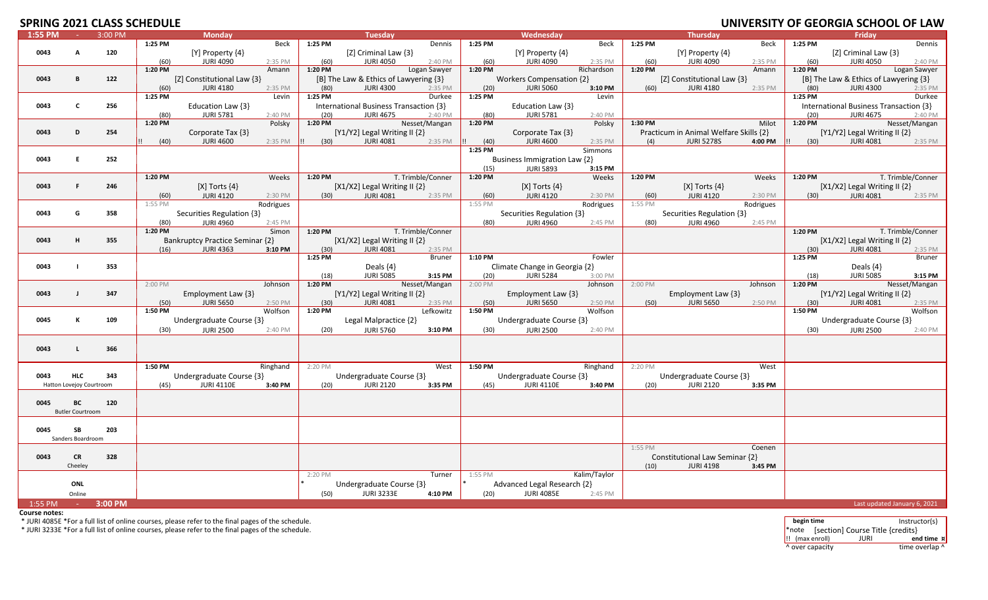# **SPRING 2021 CLASS SCHEDULE**

|         |                          |         | JUI ILD ULL |                                 |           |         |                                        |                   |         |                               |              |         |                                        |           | onnvensit i vi ulundis |                                        | <b>UI LAV</b>     |
|---------|--------------------------|---------|-------------|---------------------------------|-----------|---------|----------------------------------------|-------------------|---------|-------------------------------|--------------|---------|----------------------------------------|-----------|------------------------|----------------------------------------|-------------------|
| 1:55 PM | na l                     | 3:00 PM |             | <b>Monday</b>                   |           |         | <b>Tuesday</b>                         |                   |         | Wednesday                     |              |         | <b>Thursday</b>                        |           |                        | Friday                                 |                   |
|         |                          |         | 1:25 PM     |                                 | Beck      | 1:25 PM |                                        | Dennis            | 1:25 PM |                               | Beck         | 1:25 PM |                                        | Beck      | 1:25 PM                |                                        | Dennis            |
| 0043    | A                        | 120     |             | [Y] Property {4}                |           |         | [Z] Criminal Law {3}                   |                   |         | $[Y]$ Property $\{4\}$        |              |         | $[Y]$ Property $\{4\}$                 |           |                        | [Z] Criminal Law {3}                   |                   |
|         |                          |         | (60)        | <b>JURI 4090</b>                | 2:35 PM   | (60)    | <b>JURI 4050</b>                       | 2:40 PM           | (60)    | JURI 4090                     | 2:35 PM      | (60)    | <b>JURI 4090</b>                       | 2:35 PM   | (60)                   | <b>JURI 4050</b>                       | 2:40 PM           |
|         |                          |         | 1:20 PM     |                                 | Amann     | 1:20 PM |                                        | Logan Sawyer      | 1:20 PM |                               | Richardson   | 1:20 PM |                                        | Amann     | 1:20 PM                |                                        | Logan Sawyer      |
| 0043    | B.                       | 122     |             | [Z] Constitutional Law {3}      |           |         | [B] The Law & Ethics of Lawyering {3}  |                   |         | Workers Compensation {2}      |              |         | [Z] Constitutional Law {3}             |           |                        | [B] The Law & Ethics of Lawyering {3}  |                   |
|         |                          |         |             |                                 |           |         |                                        |                   |         |                               |              |         |                                        |           |                        |                                        |                   |
|         |                          |         | (60)        | <b>JURI 4180</b>                | 2:35 PM   | (80)    | <b>JURI 4300</b>                       | 2:35 PM           | (20)    | <b>JURI 5060</b>              | 3:10 PM      | (60)    | <b>JURI 4180</b>                       | 2:35 PM   | (80)                   | <b>JURI 4300</b>                       | 2:35 PM           |
|         |                          |         | 1:25 PM     |                                 | Levin     | 1:25 PM |                                        | Durkee            | 1:25 PM |                               | Levin        |         |                                        |           | 1:25 PM                |                                        | Durkee            |
| 0043    | $\mathbf{c}$             | 256     |             | Education Law {3}               |           |         | International Business Transaction {3} |                   |         | Education Law {3}             |              |         |                                        |           |                        | International Business Transaction {3} |                   |
|         |                          |         | (80)        | <b>JURI 5781</b>                | 2:40 PM   | (20)    | <b>JURI 4675</b>                       | 2:40 PM           | (80)    | <b>JURI 5781</b>              | 2:40 PM      |         |                                        |           | (20)                   | <b>JURI 4675</b>                       | 2:40 PM           |
|         |                          |         | 1:20 PM     |                                 | Polsky    | 1:20 PM |                                        | Nesset/Mangan     | 1:20 PM |                               | Polsky       | 1:30 PM |                                        | Milot     | 1:20 PM                |                                        | Nesset/Mangan     |
| 0043    | D                        | 254     |             | Corporate Tax {3}               |           |         | $[Y1/Y2]$ Legal Writing II $\{2\}$     |                   |         | Corporate Tax {3}             |              |         | Practicum in Animal Welfare Skills {2} |           |                        | $[Y1/Y2]$ Legal Writing II $\{2\}$     |                   |
|         |                          |         |             |                                 |           |         |                                        |                   |         |                               |              |         |                                        |           |                        |                                        |                   |
|         |                          |         | (40)        | <b>JURI 4600</b>                | 2:35 PM   | (30)    | <b>JURI 4081</b>                       | 2:35 PM           | (40)    | <b>JURI 4600</b>              | 2:35 PM      | (4)     | <b>JURI 5278S</b>                      | 4:00 PM   | (30)                   | <b>JURI 4081</b>                       | 2:35 PM           |
|         |                          |         |             |                                 |           |         |                                        |                   | 1:25 PM |                               | Simmons      |         |                                        |           |                        |                                        |                   |
| 0043    | E                        | 252     |             |                                 |           |         |                                        |                   |         | Business Immigration Law {2}  |              |         |                                        |           |                        |                                        |                   |
|         |                          |         |             |                                 |           |         |                                        |                   | (15)    | <b>JURI 5893</b>              | 3:15 PM      |         |                                        |           |                        |                                        |                   |
|         |                          |         | 1:20 PM     |                                 | Weeks     | 1:20 PM |                                        | T. Trimble/Conner | 1:20 PM |                               | Weeks        | 1:20 PM |                                        | Weeks     | 1:20 PM                |                                        | T. Trimble/Conner |
| 0043    | .F                       | 246     |             | $[X]$ Torts $\{4\}$             |           |         | [X1/X2] Legal Writing II {2}           |                   |         | $[X]$ Torts $\{4\}$           |              |         | [X] Torts $\{4\}$                      |           |                        | [X1/X2] Legal Writing II {2}           |                   |
|         |                          |         |             |                                 |           |         |                                        |                   |         |                               |              |         |                                        |           |                        |                                        |                   |
|         |                          |         | (60)        | <b>JURI 4120</b>                | 2:30 PM   | (30)    | <b>JURI 4081</b>                       | 2:35 PM           | (60)    | <b>JURI 4120</b>              | 2:30 PM      | (60)    | <b>JURI 4120</b>                       | 2:30 PM   | (30)                   | <b>JURI 4081</b>                       | 2:35 PM           |
|         |                          |         | 1:55 PM     |                                 | Rodrigues |         |                                        |                   | 1:55 PM |                               | Rodrigues    | 1:55 PM |                                        | Rodrigues |                        |                                        |                   |
| 0043    | G                        | 358     |             | Securities Regulation {3}       |           |         |                                        |                   |         | Securities Regulation {3}     |              |         | Securities Regulation {3}              |           |                        |                                        |                   |
|         |                          |         | (80)        | <b>JURI 4960</b>                | 2:45 PM   |         |                                        |                   | (80)    | <b>JURI 4960</b>              | 2:45 PM      | (80)    | <b>JURI 4960</b>                       | 2:45 PM   |                        |                                        |                   |
|         |                          |         | 1:20 PM     |                                 | Simon     | 1:20 PM |                                        | T. Trimble/Conner |         |                               |              |         |                                        |           | 1:20 PM                |                                        | T. Trimble/Conner |
| 0043    | H                        | 355     |             | Bankruptcy Practice Seminar {2} |           |         |                                        |                   |         |                               |              |         |                                        |           |                        | [X1/X2] Legal Writing II {2}           |                   |
|         |                          |         |             |                                 |           |         | [ $X1/X2$ ] Legal Writing II $\{2\}$   |                   |         |                               |              |         |                                        |           |                        |                                        |                   |
|         |                          |         | (16)        | <b>JURI 4363</b>                | 3:10 PM   | (30)    | <b>JURI 4081</b>                       | 2:35 PM           |         |                               |              |         |                                        |           | (30)                   | <b>JURI 4081</b>                       | 2:35 PM           |
|         |                          |         |             |                                 |           | 1:25 PM |                                        | <b>Bruner</b>     | 1:10 PM |                               | Fowler       |         |                                        |           | 1:25 PM                |                                        | Bruner            |
| 0043    |                          | 353     |             |                                 |           |         | Deals $\{4\}$                          |                   |         | Climate Change in Georgia {2} |              |         |                                        |           |                        | Deals $\{4\}$                          |                   |
|         |                          |         |             |                                 |           | (18)    | <b>JURI 5085</b>                       | 3:15 PM           | (20)    | <b>JURI 5284</b>              | 3:00 PM      |         |                                        |           | (18)                   | <b>JURI 5085</b>                       | 3:15 PM           |
|         |                          |         | 2:00 PM     |                                 | Johnson   | 1:20 PM |                                        | Nesset/Mangan     | 2:00 PM |                               | Johnson      | 2:00 PM |                                        | Johnson   | 1:20 PM                |                                        | Nesset/Mangan     |
| 0043    |                          | 347     |             | Employment Law {3}              |           |         | $[Y1/Y2]$ Legal Writing II $\{2\}$     |                   |         | Employment Law $\{3\}$        |              |         | Employment Law {3}                     |           |                        | [Y1/Y2] Legal Writing II $\{2\}$       |                   |
|         |                          |         | (50)        | <b>JURI 5650</b>                | 2:50 PM   | (30)    | <b>JURI 4081</b>                       | 2:35 PM           | (50)    | <b>JURI 5650</b>              | 2:50 PM      | (50)    | <b>JURI 5650</b>                       | 2:50 PM   | (30)                   | <b>JURI 4081</b>                       | 2:35 PM           |
|         |                          |         | 1:50 PM     |                                 | Wolfson   | 1:20 PM |                                        | Lefkowitz         | 1:50 PM |                               | Wolfson      |         |                                        |           | 1:50 PM                |                                        | Wolfson           |
|         |                          |         |             |                                 |           |         |                                        |                   |         |                               |              |         |                                        |           |                        |                                        |                   |
| 0045    | К                        | 109     |             | Undergraduate Course {3}        |           |         | Legal Malpractice {2}                  |                   |         | Undergraduate Course {3}      |              |         |                                        |           |                        | Undergraduate Course {3}               |                   |
|         |                          |         | (30)        | <b>JURI 2500</b>                | 2:40 PM   | (20)    | <b>JURI 5760</b>                       | 3:10 PM           | (30)    | <b>JURI 2500</b>              | 2:40 PM      |         |                                        |           | (30)                   | <b>JURI 2500</b>                       | 2:40 PM           |
|         |                          |         |             |                                 |           |         |                                        |                   |         |                               |              |         |                                        |           |                        |                                        |                   |
| 0043    | п.                       | 366     |             |                                 |           |         |                                        |                   |         |                               |              |         |                                        |           |                        |                                        |                   |
|         |                          |         |             |                                 |           |         |                                        |                   |         |                               |              |         |                                        |           |                        |                                        |                   |
|         |                          |         |             |                                 |           |         |                                        |                   |         |                               |              |         |                                        |           |                        |                                        |                   |
|         |                          |         | 1:50 PM     |                                 | Ringhand  | 2:20 PM |                                        | West              | 1:50 PM |                               | Ringhand     | 2:20 PM |                                        | West      |                        |                                        |                   |
| 0043    | <b>HLC</b>               | 343     |             | Undergraduate Course {3}        |           |         | Undergraduate Course {3}               |                   |         | Undergraduate Course {3}      |              |         | Undergraduate Course {3}               |           |                        |                                        |                   |
|         | Hatton Lovejoy Courtroom |         | (45)        | <b>JURI 4110E</b>               | 3:40 PM   | (20)    | <b>JURI 2120</b>                       | 3:35 PM           | (45)    | <b>JURI 4110E</b>             | 3:40 PM      | (20)    | <b>JURI 2120</b>                       | 3:35 PM   |                        |                                        |                   |
|         |                          |         |             |                                 |           |         |                                        |                   |         |                               |              |         |                                        |           |                        |                                        |                   |
| 0045    | ВC                       | 120     |             |                                 |           |         |                                        |                   |         |                               |              |         |                                        |           |                        |                                        |                   |
|         |                          |         |             |                                 |           |         |                                        |                   |         |                               |              |         |                                        |           |                        |                                        |                   |
|         | <b>Butler Courtroom</b>  |         |             |                                 |           |         |                                        |                   |         |                               |              |         |                                        |           |                        |                                        |                   |
|         |                          |         |             |                                 |           |         |                                        |                   |         |                               |              |         |                                        |           |                        |                                        |                   |
| 0045    | SB                       | 203     |             |                                 |           |         |                                        |                   |         |                               |              |         |                                        |           |                        |                                        |                   |
|         | Sanders Boardroom        |         |             |                                 |           |         |                                        |                   |         |                               |              |         |                                        |           |                        |                                        |                   |
|         |                          |         |             |                                 |           |         |                                        |                   |         |                               |              | 1:55 PM |                                        | Coenen    |                        |                                        |                   |
| 0043    | <b>CR</b>                | 328     |             |                                 |           |         |                                        |                   |         |                               |              |         | Constitutional Law Seminar {2}         |           |                        |                                        |                   |
|         |                          |         |             |                                 |           |         |                                        |                   |         |                               |              |         |                                        |           |                        |                                        |                   |
|         | Cheeley                  |         |             |                                 |           |         |                                        |                   |         |                               |              | (10)    | <b>JURI 4198</b>                       | 3:45 PM   |                        |                                        |                   |
|         |                          |         |             |                                 |           | 2:20 PM |                                        | Turner            | 1:55 PM |                               | Kalim/Taylor |         |                                        |           |                        |                                        |                   |
|         | <b>ONL</b>               |         |             |                                 |           |         | Undergraduate Course {3}               |                   |         | Advanced Legal Research {2}   |              |         |                                        |           |                        |                                        |                   |
|         | Online                   |         |             |                                 |           | (50)    | <b>JURI 3233E</b>                      | 4:10 PM           | (20)    | <b>JURI 4085E</b>             | 2:45 PM      |         |                                        |           |                        |                                        |                   |
| 1:55 PM |                          | 3:00 PM |             |                                 |           |         |                                        |                   |         |                               |              |         |                                        |           |                        | Last updated January 6, 2021           |                   |
|         | $\sim$ $-$               |         |             |                                 |           |         |                                        |                   |         |                               |              |         |                                        |           |                        |                                        |                   |

**Course notes:**

\* JURI 4085E \*For a full list of online courses, please refer to the final pages of the schedule. **begin time** Instructor(s)

\* JURI 3233E \*For a full list of online courses, please refer to the final pages of the schedule. Note and the schedule and the schedule and the schedule of the schedule.

!! (max enroll) JURI **end time ¤** ^ over capacity time overlap ^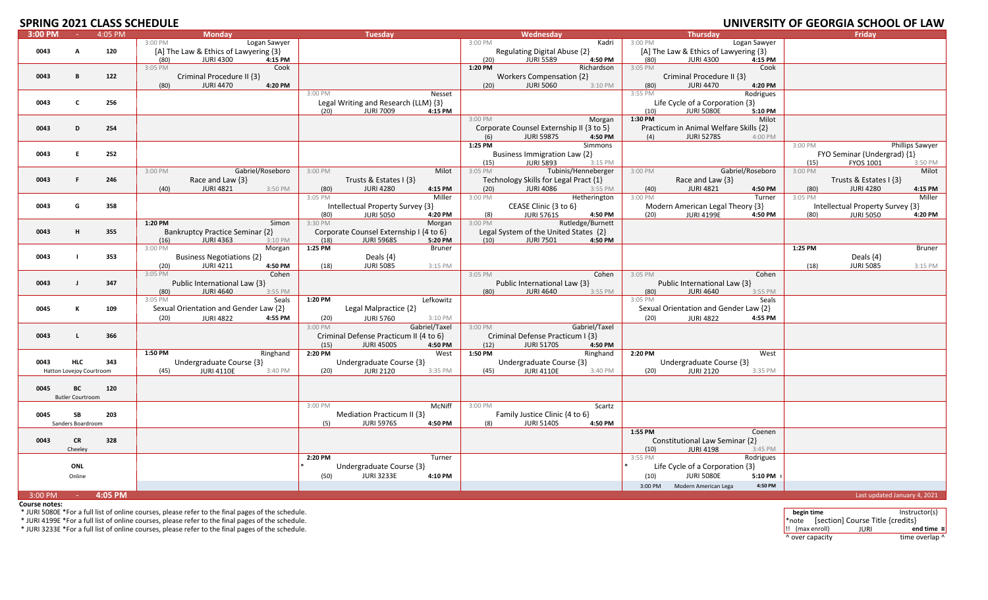# **SPRING 2021 CLASS SCHEDULE**

|           |                          |         | ZUZI CLAJJ JCHILDULL                  |                                         |                                          |                                            | <u>UNIVERSITI UL ULURUM JUNUUL UL EAW</u> |
|-----------|--------------------------|---------|---------------------------------------|-----------------------------------------|------------------------------------------|--------------------------------------------|-------------------------------------------|
| $3:00$ PM | <b>COL</b>               | 4:05 PM | <b>Monday</b>                         | <b>Tuesday</b>                          | Wednesday                                | <b>Thursday</b>                            | Friday                                    |
|           |                          |         | 3:00 PM<br>Logan Sawyer               |                                         | 3:00 PM<br>Kadri                         | 3:00 PM<br>Logan Sawyer                    |                                           |
| 0043      | A                        | 120     | [A] The Law & Ethics of Lawyering {3} |                                         | Regulating Digital Abuse {2}             | [A] The Law & Ethics of Lawyering {3}      |                                           |
|           |                          |         | <b>JURI 4300</b><br>(80)<br>4:15 PM   |                                         | <b>JURI 5589</b><br>4:50 PM<br>(20)      | <b>JURI 4300</b><br>(80)<br>4:15 PM        |                                           |
|           |                          |         | 3:05 PM<br>Cook                       |                                         | 1:20 PM<br>Richardson                    | 3:05 PM<br>Cook                            |                                           |
|           |                          |         |                                       |                                         |                                          |                                            |                                           |
| 0043      | B                        | 122     | Criminal Procedure II {3}             |                                         | <b>Workers Compensation {2}</b>          | Criminal Procedure II {3}                  |                                           |
|           |                          |         | <b>JURI 4470</b><br>4:20 PM<br>(80)   |                                         | <b>JURI 5060</b><br>3:10 PM<br>(20)      | <b>JURI 4470</b><br>4:20 PM<br>(80)        |                                           |
|           |                          |         |                                       | 3:00 PM<br>Nesset                       |                                          | 3:55 PM<br>Rodrigues                       |                                           |
| 0043      | C                        | 256     |                                       | Legal Writing and Research (LLM) {3}    |                                          | Life Cycle of a Corporation {3}            |                                           |
|           |                          |         |                                       | <b>JURI 7009</b><br>(20)<br>4:15 PM     |                                          | <b>JURI 5080E</b><br>(10)<br>5:10 PM       |                                           |
|           |                          |         |                                       |                                         | 3:00 PM<br>Morgan                        | 1:30 PM<br>Milot                           |                                           |
|           |                          |         |                                       |                                         |                                          |                                            |                                           |
| 0043      | D                        | 254     |                                       |                                         | Corporate Counsel Externship II {3 to 5} | Practicum in Animal Welfare Skills {2}     |                                           |
|           |                          |         |                                       |                                         | <b>JURI 5987S</b><br>4:50 PM<br>(6)      | <b>JURI 5278S</b><br>4:00 PM<br>(4)        |                                           |
|           |                          |         |                                       |                                         | 1:25 PM<br>Simmons                       |                                            | Phillips Sawyer<br>3:00 PM                |
| 0043      | F.                       | 252     |                                       |                                         | Business Immigration Law {2}             |                                            | FYO Seminar (Undergrad) {1}               |
|           |                          |         |                                       |                                         | <b>JURI 5893</b><br>3:15 PM              |                                            | FYOS 1001<br>3:50 PM                      |
|           |                          |         |                                       |                                         | (15)                                     |                                            | (15)                                      |
|           |                          |         | 3:00 PM<br>Gabriel/Roseboro           | 3:00 PM<br>Milot                        | Tubinis/Henneberger<br>3:05 PM           | 3:00 PM<br>Gabriel/Roseboro                | 3:00 PM<br>Milot                          |
| 0043      |                          | 246     | Race and Law $\{3\}$                  | Trusts & Estates I {3}                  | Technology Skills for Legal Pract {1}    | Race and Law $\{3\}$                       | Trusts & Estates $\{3\}$                  |
|           |                          |         | <b>JURI 4821</b><br>3:50 PM<br>(40)   | <b>JURI 4280</b><br>4:15 PM<br>(80)     | (20)<br><b>JURI 4086</b><br>3:55 PM      | (40)<br><b>JURI 4821</b><br>4:50 PM        | <b>JURI 4280</b><br>(80)<br>4:15 PM       |
|           |                          |         |                                       | 3:05 PM<br>Miller                       | 3:00 PM<br>Hetherington                  | 3:00 PM<br>Turner                          | 3:05 PM<br>Miller                         |
| 0043      | G                        | 358     |                                       | Intellectual Property Survey {3}        | CEASE Clinic {3 to 6}                    | Modern American Legal Theory {3}           | Intellectual Property Survey {3}          |
|           |                          |         |                                       |                                         |                                          |                                            |                                           |
|           |                          |         |                                       | <b>JURI 5050</b><br>(80)<br>4:20 PM     | <b>JURI 5761S</b><br>4:50 PM<br>(8)      | <b>JURI 4199E</b><br>4:50 PM<br>(20)       | 4:20 PM<br>(80)<br><b>JURI 5050</b>       |
|           |                          |         | 1:20 PM<br>Simon                      | 3:30 PM<br>Morgan                       | Rutledge/Burnett<br>3:00 PM              |                                            |                                           |
| 0043      | H                        | 355     | Bankruptcy Practice Seminar {2}       | Corporate Counsel Externship I {4 to 6} | Legal System of the United States {2}    |                                            |                                           |
|           |                          |         | <b>JURI 4363</b><br>3:10 PM<br>(16)   | (18)<br><b>JURI 5968S</b><br>5:20 PM    | (10)<br><b>JURI 7501</b><br>4:50 PM      |                                            |                                           |
|           |                          |         | 3:00 PM<br>Morgan                     | 1:25 PM<br><b>Bruner</b>                |                                          |                                            | 1:25 PM<br>Bruner                         |
| 0043      |                          | 353     | <b>Business Negotiations {2}</b>      | Deals $\{4\}$                           |                                          |                                            | Deals $\{4\}$                             |
|           |                          |         |                                       |                                         |                                          |                                            |                                           |
|           |                          |         | <b>JURI 4211</b><br>4:50 PM<br>(20)   | <b>JURI 5085</b><br>(18)<br>3:15 PM     |                                          |                                            | (18)<br><b>JURI 5085</b><br>3:15 PM       |
|           |                          |         | Cohen<br>3:05 PM                      |                                         | 3:05 PM<br>Cohen                         | 3:05 PM<br>Cohen                           |                                           |
| 0043      |                          | 347     | Public International Law {3}          |                                         | Public International Law {3}             | Public International Law {3}               |                                           |
|           |                          |         | <b>JURI 4640</b><br>3:55 PM<br>(80)   |                                         | <b>JURI 4640</b><br>3:55 PM<br>(80)      | <b>JURI 4640</b><br>3:55 PM<br>(80)        |                                           |
|           |                          |         | 3:05 PM<br>Seals                      | 1:20 PM<br>Lefkowitz                    |                                          | 3:05 PM<br>Seals                           |                                           |
| 0045      | к                        | 109     | Sexual Orientation and Gender Law {2} | Legal Malpractice {2}                   |                                          | Sexual Orientation and Gender Law {2}      |                                           |
|           |                          |         |                                       |                                         |                                          |                                            |                                           |
|           |                          |         | (20)<br><b>JURI 4822</b><br>4:55 PM   | <b>JURI 5760</b><br>(20)<br>3:10 PM     |                                          | <b>JURI 4822</b><br>4:55 PM<br>(20)        |                                           |
|           |                          |         |                                       | Gabriel/Taxel<br>3:00 PM                | 3:00 PM<br>Gabriel/Taxel                 |                                            |                                           |
| 0043      | т.                       | 366     |                                       | Criminal Defense Practicum II {4 to 6}  | Criminal Defense Practicum I {3}         |                                            |                                           |
|           |                          |         |                                       | (15)<br><b>JURI 4500S</b><br>4:50 PM    | (12)<br><b>JURI 5170S</b><br>4:50 PM     |                                            |                                           |
|           |                          |         | 1:50 PM<br>Ringhand                   | 2:20 PM<br>West                         | 1:50 PM<br>Ringhand                      | 2:20 PM<br>West                            |                                           |
|           |                          |         |                                       |                                         |                                          |                                            |                                           |
| 0043      | <b>HLC</b>               | 343     | Undergraduate Course {3}              | Undergraduate Course {3}                | Undergraduate Course {3}                 | Undergraduate Course {3}                   |                                           |
|           | Hatton Lovejoy Courtroom |         | <b>JURI 4110E</b><br>3:40 PM<br>(45)  | <b>JURI 2120</b><br>(20)<br>3:35 PM     | <b>JURI 4110E</b><br>3:40 PM<br>(45)     | <b>JURI 2120</b><br>(20)<br>3:35 PM        |                                           |
|           |                          |         |                                       |                                         |                                          |                                            |                                           |
| 0045      | ВC                       | 120     |                                       |                                         |                                          |                                            |                                           |
|           | <b>Butler Courtroom</b>  |         |                                       |                                         |                                          |                                            |                                           |
|           |                          |         |                                       | McNiff<br>3:00 PM                       | 3:00 PM<br>Scartz                        |                                            |                                           |
|           |                          |         |                                       |                                         |                                          |                                            |                                           |
| 0045      | SB                       | 203     |                                       | Mediation Practicum II {3}              | Family Justice Clinic {4 to 6}           |                                            |                                           |
|           | Sanders Boardroom        |         |                                       | <b>JURI 5976S</b><br>(5)<br>4:50 PM     | <b>JURI 5140S</b><br>(8)<br>4:50 PM      |                                            |                                           |
|           |                          |         |                                       |                                         |                                          | 1:55 PM<br>Coenen                          |                                           |
| 0043      | <b>CR</b>                | 328     |                                       |                                         |                                          | Constitutional Law Seminar {2}             |                                           |
|           | Cheelev                  |         |                                       |                                         |                                          | (10)<br><b>JURI 4198</b><br>3:45 PM        |                                           |
|           |                          |         |                                       | 2:20 PM<br>Turner                       |                                          | Rodrigues<br>3:55 PM                       |                                           |
|           |                          |         |                                       |                                         |                                          |                                            |                                           |
|           | <b>ONL</b>               |         |                                       | Undergraduate Course {3}                |                                          | Life Cycle of a Corporation {3}            |                                           |
|           | Online                   |         |                                       | <b>JURI 3233E</b><br>(50)<br>4:10 PM    |                                          | (10)<br><b>JURI 5080E</b><br>5:10 PM 1     |                                           |
|           |                          |         |                                       |                                         |                                          | Modern American Lega<br>4:50 PM<br>3:00 PM |                                           |
|           |                          |         |                                       |                                         |                                          |                                            |                                           |
| 3:00 PM   | $\sim 10^{-1}$           | 4:05 PM |                                       |                                         |                                          |                                            | Last updated January 4, 2021              |

**Course notes:**

\* JURI 5080E \*For a full list of online courses, please refer to the final pages of the schedule. **begin time** Instructor(s)

\* JURI 4199E \*For a full list of online courses, please refer to the final pages of the schedule.  $\blacksquare$  \* note  $\blacksquare$   $\blacksquare$  \*note  $\blacksquare$   $\blacksquare$   $\blacksquare$   $\blacksquare$   $\blacksquare$   $\blacksquare$   $\blacksquare$   $\blacksquare$   $\blacksquare$   $\blacksquare$   $\blacksquare$   $\blacksquare$   $\blacksquare$ 

\* JURI 3233E \*For a full list of online courses, please refer to the final pages of the schedule. !! (max enroll) JURI **end time ¤** ^ over capacity time overlap ^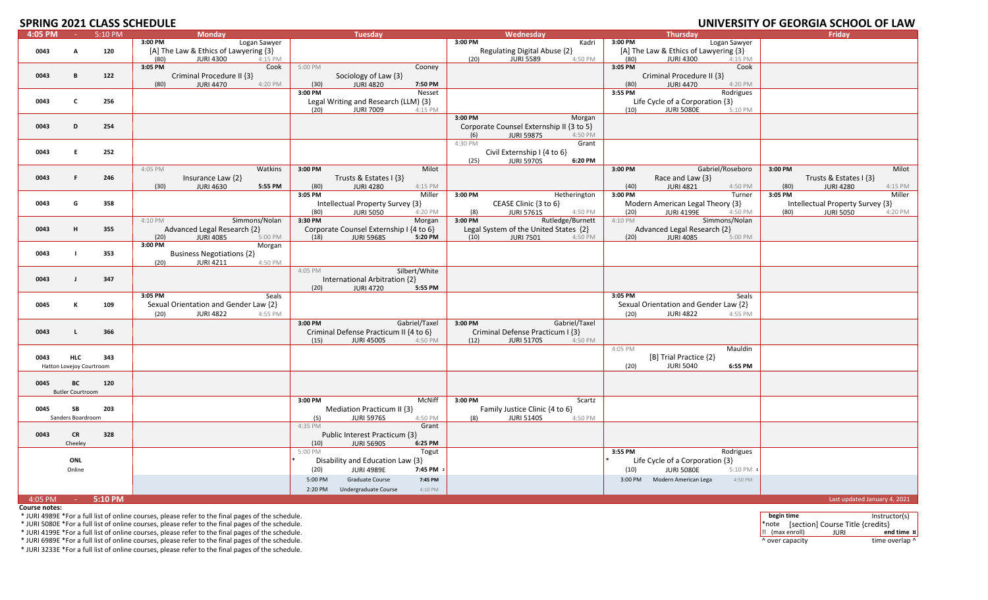#### **SPRING 2021 CLASS SCHEDULE**

|         |                          |         | 91 INITY LYLI CLAYS YUNLYYLI          |                                            |                                          |                                            | 55115555                            |
|---------|--------------------------|---------|---------------------------------------|--------------------------------------------|------------------------------------------|--------------------------------------------|-------------------------------------|
| 4:05 PM | $\sim 100$               | 5:10 PM | <b>Monday</b>                         | <b>Tuesday</b>                             | Wednesday                                | <b>Thursday</b>                            | Friday                              |
|         |                          |         | Logan Sawyer<br>3:00 PM               |                                            | 3:00 PM<br>Kadri                         | 3:00 PM<br>Logan Sawyer                    |                                     |
| 0043    | Α                        | 120     | [A] The Law & Ethics of Lawyering {3} |                                            | Regulating Digital Abuse {2}             | [A] The Law & Ethics of Lawyering {3}      |                                     |
|         |                          |         | <b>JURI 4300</b><br>(80)<br>$4:15$ PM |                                            | <b>JURI 5589</b><br>(20)<br>4:50 PM      | <b>JURI 4300</b><br>(80)<br>4:15 PM        |                                     |
|         |                          |         | 3:05 PM<br>Cook                       | 5:00 PM<br>Cooney                          |                                          | 3:05 PM<br>Cook                            |                                     |
| 0043    | B                        | 122     | Criminal Procedure II {3}             | Sociology of Law {3}                       |                                          | Criminal Procedure II {3}                  |                                     |
|         |                          |         | 4:20 PM<br><b>JURI 4470</b><br>(80)   | (30)<br><b>JURI 4820</b><br>7:50 PM        |                                          | <b>JURI 4470</b><br>4:20 PM<br>(80)        |                                     |
|         |                          |         |                                       | 3:00 PM<br>Nesset                          |                                          | 3:55 PM<br>Rodrigues                       |                                     |
|         |                          |         |                                       |                                            |                                          |                                            |                                     |
| 0043    | C                        | 256     |                                       | Legal Writing and Research (LLM) {3}       |                                          | Life Cycle of a Corporation {3}            |                                     |
|         |                          |         |                                       | <b>JURI 7009</b><br>(20)<br>4:15 PM        |                                          | (10)<br><b>JURI 5080E</b><br>5:10 PM       |                                     |
|         |                          |         |                                       |                                            | 3:00 PM<br>Morgan                        |                                            |                                     |
| 0043    | D                        | 254     |                                       |                                            | Corporate Counsel Externship II {3 to 5} |                                            |                                     |
|         |                          |         |                                       |                                            | <b>JURI 5987S</b><br>4:50 PM<br>(6)      |                                            |                                     |
|         |                          |         |                                       |                                            | 4:30 PM<br>Grant                         |                                            |                                     |
| 0043    | E                        | 252     |                                       |                                            | Civil Externship I {4 to 6}              |                                            |                                     |
|         |                          |         |                                       |                                            | 6:20 PM                                  |                                            |                                     |
|         |                          |         |                                       |                                            | <b>JURI 5970S</b><br>(25)                |                                            |                                     |
|         |                          |         | 4:05 PM<br>Watkins                    | Milot<br>3:00 PM                           |                                          | Gabriel/Roseboro<br>3:00 PM                | Milot<br>3:00 PM                    |
| 0043    | F                        | 246     | Insurance Law {2}                     | Trusts & Estates I {3}                     |                                          | Race and Law {3}                           | Trusts & Estates I {3}              |
|         |                          |         | (30)<br><b>JURI 4630</b><br>5:55 PM   | <b>JURI 4280</b><br>(80)<br>4:15 PM        |                                          | (40)<br><b>JURI 4821</b><br>4:50 PM        | (80)<br><b>JURI 4280</b><br>4:15 PM |
|         |                          |         |                                       | 3:05 PM<br>Miller                          | 3:00 PM<br>Hetherington                  | 3:00 PM<br>Turner                          | 3:05 PM<br>Miller                   |
| 0043    | G                        | 358     |                                       | Intellectual Property Survey {3}           | CEASE Clinic {3 to 6}                    | Modern American Legal Theory {3}           | Intellectual Property Survey {3}    |
|         |                          |         |                                       | <b>JURI 5050</b><br>(80)<br>4:20 PM        | <b>JURI 5761S</b><br>(8)<br>4:50 PM      | <b>JURI 4199E</b><br>(20)<br>4:50 PM       | <b>JURI 5050</b><br>(80)<br>4:20 PM |
|         |                          |         | Simmons/Nolan<br>4:10 PM              | 3:30 PM<br>Morgan                          | Rutledge/Burnett<br>3:00 PM              | 4:10 PM<br>Simmons/Nolan                   |                                     |
|         |                          |         |                                       |                                            |                                          |                                            |                                     |
| 0043    | H                        | 355     | Advanced Legal Research {2}           | Corporate Counsel Externship I {4 to 6}    | Legal System of the United States {2}    | Advanced Legal Research {2}                |                                     |
|         |                          |         | <b>JURI 4085</b><br>(20)<br>5:00 PM   | 5:20 PM<br>(18)<br><b>JURI 5968S</b>       | (10)<br><b>JURI 7501</b><br>4:50 PM      | <b>JURI 4085</b><br>(20)<br>5:00 PM        |                                     |
|         |                          |         | 3:00 PM<br>Morgan                     |                                            |                                          |                                            |                                     |
| 0043    |                          | 353     | <b>Business Negotiations {2}</b>      |                                            |                                          |                                            |                                     |
|         |                          |         | <b>JURI 4211</b><br>(20)<br>4:50 PM   |                                            |                                          |                                            |                                     |
|         |                          |         |                                       | Silbert/White<br>4:05 PM                   |                                          |                                            |                                     |
| 0043    | $\blacksquare$           | 347     |                                       | International Arbitration {2}              |                                          |                                            |                                     |
|         |                          |         |                                       | <b>JURI 4720</b><br>(20)<br>5:55 PM        |                                          |                                            |                                     |
|         |                          |         | 3:05 PM<br>Seals                      |                                            |                                          | 3:05 PM<br>Seals                           |                                     |
|         | к                        | 109     | Sexual Orientation and Gender Law {2} |                                            |                                          | Sexual Orientation and Gender Law {2}      |                                     |
| 0045    |                          |         |                                       |                                            |                                          |                                            |                                     |
|         |                          |         | (20)<br><b>JURI 4822</b><br>4:55 PM   |                                            |                                          | (20)<br><b>JURI 4822</b><br>4:55 PM        |                                     |
|         |                          |         |                                       | 3:00 PM<br>Gabriel/Taxel                   | 3:00 PM<br>Gabriel/Taxel                 |                                            |                                     |
| 0043    | L                        | 366     |                                       | Criminal Defense Practicum II {4 to 6}     | Criminal Defense Practicum I {3}         |                                            |                                     |
|         |                          |         |                                       | <b>JURI 4500S</b><br>(15)<br>4:50 PM       | (12)<br><b>JURI 5170S</b><br>4:50 PM     |                                            |                                     |
|         |                          |         |                                       |                                            |                                          | 4:05 PM<br>Mauldin                         |                                     |
| 0043    | <b>HLC</b>               | 343     |                                       |                                            |                                          | [B] Trial Practice {2}                     |                                     |
|         |                          |         |                                       |                                            |                                          |                                            |                                     |
|         | Hatton Lovejoy Courtroom |         |                                       |                                            |                                          | <b>JURI 5040</b><br>(20)<br>6:55 PM        |                                     |
|         |                          |         |                                       |                                            |                                          |                                            |                                     |
| 0045    | BC                       | 120     |                                       |                                            |                                          |                                            |                                     |
|         | <b>Butler Courtroom</b>  |         |                                       |                                            |                                          |                                            |                                     |
|         |                          |         |                                       | 3:00 PM<br><b>McNiff</b>                   | 3:00 PM<br>Scartz                        |                                            |                                     |
| 0045    | SB                       | 203     |                                       | Mediation Practicum II {3}                 | Family Justice Clinic {4 to 6}           |                                            |                                     |
|         | Sanders Boardroom        |         |                                       | <b>JURI 5976S</b><br>4:50 PM<br>(5)        | <b>JURI 5140S</b><br>4:50 PM<br>(8)      |                                            |                                     |
|         |                          |         |                                       | 4:35 PM<br>Grant                           |                                          |                                            |                                     |
| 0043    | <b>CR</b>                | 328     |                                       |                                            |                                          |                                            |                                     |
|         |                          |         |                                       | Public Interest Practicum {3}              |                                          |                                            |                                     |
|         | Cheeley                  |         |                                       | <b>JURI 5690S</b><br>6:25 PM<br>(10)       |                                          |                                            |                                     |
|         |                          |         |                                       | 5:00 PM<br>Togut                           |                                          | Rodrigues<br>3:55 PM                       |                                     |
|         | ONL                      |         |                                       | Disability and Education Law {3}           |                                          | Life Cycle of a Corporation {3}            |                                     |
|         | Online                   |         |                                       | <b>JURI 4989E</b><br>(20)<br>7:45 PM       |                                          | (10)<br><b>JURI 5080E</b><br>5:10 PM       |                                     |
|         |                          |         |                                       | 7:45 PM<br>5:00 PM<br>Graduate Course      |                                          | 4:50 PM<br>3:00 PM<br>Modern American Lega |                                     |
|         |                          |         |                                       |                                            |                                          |                                            |                                     |
|         |                          |         |                                       | 2:20 PM<br>Undergraduate Course<br>4:10 PM |                                          |                                            |                                     |
| 4:05 PM | <b>Contract</b>          | 5:10 PM |                                       |                                            |                                          |                                            | Last updated January 4, 2021        |

#### **Course notes:**

 $*$  JURI 4199E  $*$  For a full list of online courses, please refer to the final pages of the schedule.

\* JURI 6989E \*For a full list of online courses, please refer to the final pages of the schedule. The schedule overlap time overlap time overlap time overlap time overlap time overlap time overlap time overlap time overlap

\* JURI 3233E \*For a full list of online courses, please refer to the final pages of the schedule.

\* JURI 4989E \*For a full list of online courses, please refer to the final pages of the schedule. **begin time** Instructor(s) **begin time** Instructor(s) **begin time** Instructor(s) **begin time** Instructor(s) **begin time** Ins \* JURI 5080E \*For a full list of online courses, please refer to the final pages of the schedule.<br>\* JURI 4199E \*For a full list of online courses, please refer to the final pages of the schedule. The schedule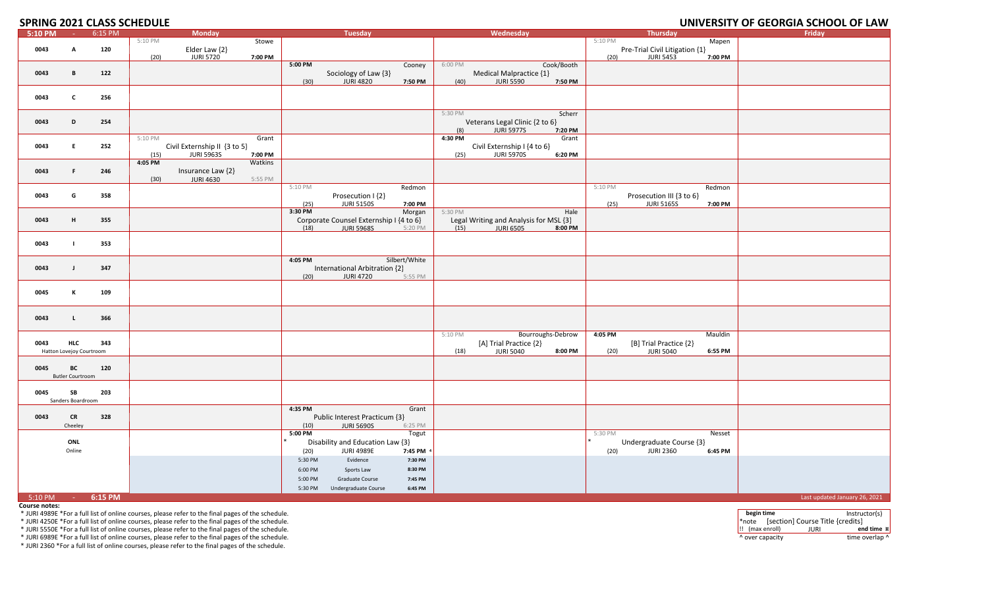### **SPRING 2021 CLASS SCHEDULE**

### **2021 CLASS SCHEDULE UNIVERSITY OF GEORGIA SCHOOL OF LAW**

| 5:10 PM           | <b>College</b>           | 6:15 PM |         | <b>Monday</b>                |         |         | <b>Tuesday</b>                          |               |         | Wednesday                              |                   |         | <b>Thursday</b>                |         | <b>Friday</b>                 |
|-------------------|--------------------------|---------|---------|------------------------------|---------|---------|-----------------------------------------|---------------|---------|----------------------------------------|-------------------|---------|--------------------------------|---------|-------------------------------|
|                   |                          |         | 5:10 PM |                              | Stowe   |         |                                         |               |         |                                        |                   | 5:10 PM |                                | Mapen   |                               |
| 0043              | A                        | 120     |         | Elder Law {2}                |         |         |                                         |               |         |                                        |                   |         | Pre-Trial Civil Litigation {1} |         |                               |
|                   |                          |         | (20)    | <b>JURI 5720</b>             | 7:00 PM |         |                                         |               |         |                                        |                   | (20)    | <b>JURI 5453</b>               | 7:00 PM |                               |
|                   |                          |         |         |                              |         | 5:00 PM |                                         | Cooney        | 6:00 PM |                                        | Cook/Booth        |         |                                |         |                               |
| 0043              | В                        | 122     |         |                              |         |         | Sociology of Law {3}                    |               |         | Medical Malpractice {1}                |                   |         |                                |         |                               |
|                   |                          |         |         |                              |         | (30)    | <b>JURI 4820</b>                        | 7:50 PM       | (40)    | <b>JURI 5590</b>                       | 7:50 PM           |         |                                |         |                               |
|                   |                          |         |         |                              |         |         |                                         |               |         |                                        |                   |         |                                |         |                               |
| 0043              | $\mathsf{c}$             | 256     |         |                              |         |         |                                         |               |         |                                        |                   |         |                                |         |                               |
|                   |                          |         |         |                              |         |         |                                         |               |         |                                        |                   |         |                                |         |                               |
|                   |                          |         |         |                              |         |         |                                         |               | 5:30 PM |                                        | Scherr            |         |                                |         |                               |
| 0043              | D                        | 254     |         |                              |         |         |                                         |               |         | Veterans Legal Clinic {2 to 6}         |                   |         |                                |         |                               |
|                   |                          |         |         |                              |         |         |                                         |               | (8)     | <b>JURI 5977S</b>                      | 7:20 PM           |         |                                |         |                               |
|                   |                          |         | 5:10 PM |                              | Grant   |         |                                         |               | 4:30 PM |                                        | Grant             |         |                                |         |                               |
| 0043              | E                        | 252     |         | Civil Externship II {3 to 5} |         |         |                                         |               |         | Civil Externship I {4 to 6}            |                   |         |                                |         |                               |
|                   |                          |         | (15)    | <b>JURI 5963S</b>            | 7:00 PM |         |                                         |               | (25)    | <b>JURI 5970S</b>                      | 6:20 PM           |         |                                |         |                               |
|                   |                          |         | 4:05 PM |                              | Watkins |         |                                         |               |         |                                        |                   |         |                                |         |                               |
|                   | F.                       |         |         |                              |         |         |                                         |               |         |                                        |                   |         |                                |         |                               |
| 0043              |                          | 246     |         | Insurance Law {2}            |         |         |                                         |               |         |                                        |                   |         |                                |         |                               |
|                   |                          |         | (30)    | <b>JURI 4630</b>             | 5:55 PM |         |                                         |               |         |                                        |                   |         |                                |         |                               |
|                   |                          |         |         |                              |         | 5:10 PM |                                         | Redmon        |         |                                        |                   | 5:10 PM |                                | Redmon  |                               |
| 0043              | G                        | 358     |         |                              |         |         | Prosecution I {2}                       |               |         |                                        |                   |         | Prosecution III {3 to 6}       |         |                               |
|                   |                          |         |         |                              |         | (25)    | <b>JURI 5150S</b>                       | 7:00 PM       |         |                                        |                   | (25)    | <b>JURI 5165S</b>              | 7:00 PM |                               |
|                   |                          |         |         |                              |         | 3:30 PM |                                         | Morgan        | 5:30 PM |                                        | Hale              |         |                                |         |                               |
| 0043              | н                        | 355     |         |                              |         |         | Corporate Counsel Externship I {4 to 6} |               |         | Legal Writing and Analysis for MSL {3} |                   |         |                                |         |                               |
|                   |                          |         |         |                              |         | (18)    | <b>JURI 5968S</b>                       | 5:20 PM       | (15)    | <b>JURI 6505</b>                       | 8:00 PM           |         |                                |         |                               |
|                   |                          |         |         |                              |         |         |                                         |               |         |                                        |                   |         |                                |         |                               |
| 0043              | -1                       | 353     |         |                              |         |         |                                         |               |         |                                        |                   |         |                                |         |                               |
|                   |                          |         |         |                              |         |         |                                         |               |         |                                        |                   |         |                                |         |                               |
|                   |                          |         |         |                              |         | 4:05 PM |                                         | Silbert/White |         |                                        |                   |         |                                |         |                               |
| 0043              | $\mathbf{J}$             | 347     |         |                              |         |         | International Arbitration {2}           |               |         |                                        |                   |         |                                |         |                               |
|                   |                          |         |         |                              |         | (20)    | <b>JURI 4720</b>                        | 5:55 PM       |         |                                        |                   |         |                                |         |                               |
|                   |                          |         |         |                              |         |         |                                         |               |         |                                        |                   |         |                                |         |                               |
| 0045              | к                        | 109     |         |                              |         |         |                                         |               |         |                                        |                   |         |                                |         |                               |
|                   |                          |         |         |                              |         |         |                                         |               |         |                                        |                   |         |                                |         |                               |
|                   |                          |         |         |                              |         |         |                                         |               |         |                                        |                   |         |                                |         |                               |
| 0043              | $\mathbf{L}$             | 366     |         |                              |         |         |                                         |               |         |                                        |                   |         |                                |         |                               |
|                   |                          |         |         |                              |         |         |                                         |               |         |                                        |                   |         |                                |         |                               |
|                   |                          |         |         |                              |         |         |                                         |               | 5:10 PM |                                        | Bourroughs-Debrow | 4:05 PM |                                | Mauldin |                               |
| 0043              | <b>HLC</b>               | 343     |         |                              |         |         |                                         |               |         | [A] Trial Practice {2}                 |                   |         | [B] Trial Practice {2}         |         |                               |
|                   | Hatton Lovejoy Courtroom |         |         |                              |         |         |                                         |               | (18)    | <b>JURI 5040</b>                       | 8:00 PM           | (20)    | <b>JURI 5040</b>               | 6:55 PM |                               |
|                   |                          |         |         |                              |         |         |                                         |               |         |                                        |                   |         |                                |         |                               |
| 0045              | BC                       | 120     |         |                              |         |         |                                         |               |         |                                        |                   |         |                                |         |                               |
|                   | <b>Butler Courtroom</b>  |         |         |                              |         |         |                                         |               |         |                                        |                   |         |                                |         |                               |
|                   |                          |         |         |                              |         |         |                                         |               |         |                                        |                   |         |                                |         |                               |
| 0045              | SB                       | 203     |         |                              |         |         |                                         |               |         |                                        |                   |         |                                |         |                               |
|                   | Sanders Boardroom        |         |         |                              |         |         |                                         |               |         |                                        |                   |         |                                |         |                               |
|                   |                          |         |         |                              |         | 4:35 PM |                                         | Grant         |         |                                        |                   |         |                                |         |                               |
| 0043              | <b>CR</b>                | 328     |         |                              |         |         | Public Interest Practicum {3}           |               |         |                                        |                   |         |                                |         |                               |
|                   | Cheeley                  |         |         |                              |         | (10)    | <b>JURI 5690S</b>                       | 6:25 PM       |         |                                        |                   |         |                                |         |                               |
|                   |                          |         |         |                              |         | 5:00 PM |                                         | <b>Togut</b>  |         |                                        |                   | 5:30 PM |                                | Nesset  |                               |
|                   | ONL                      |         |         |                              |         |         | Disability and Education Law {3}        |               |         |                                        |                   |         | Undergraduate Course {3}       |         |                               |
|                   | Online                   |         |         |                              |         | (20)    | <b>JURI 4989E</b>                       | 7:45 PM       |         |                                        |                   | (20)    | <b>JURI 2360</b>               | 6:45 PM |                               |
|                   |                          |         |         |                              |         |         |                                         |               |         |                                        |                   |         |                                |         |                               |
|                   |                          |         |         |                              |         | 5:30 PM | Evidence                                | 7:30 PM       |         |                                        |                   |         |                                |         |                               |
|                   |                          |         |         |                              |         | 6:00 PM | Sports Law                              | 8:30 PM       |         |                                        |                   |         |                                |         |                               |
|                   |                          |         |         |                              |         | 5:00 PM | Graduate Course                         | 7:45 PM       |         |                                        |                   |         |                                |         |                               |
|                   |                          |         |         |                              |         | 5:30 PM | Undergraduate Course                    | 6:45 PM       |         |                                        |                   |         |                                |         |                               |
| 5:10 PM - 6:15 PM |                          |         |         |                              |         |         |                                         |               |         |                                        |                   |         |                                |         | Last updated January 26, 2021 |

**Course notes:**

\* JURI 5550E \*For <sup>a</sup> full list of online courses, please refer to the final pages of the schedule. !! (max enroll) JURI **end time ¤**

\* JURI 6989E \*For <sup>a</sup> full list of online courses, please refer to the final pages of the schedule. ^ over capacity time overlap ^

\* JURI 2360 \*For <sup>a</sup> full list of online courses, please refer to the final pages of the schedule.

\* JURI 4989E \*For a full list of online courses, please refer to the final pages of the schedule.<br>\* JURI 4250E \*For a full list of online courses, please refer to the final pages of the schedule. The schedule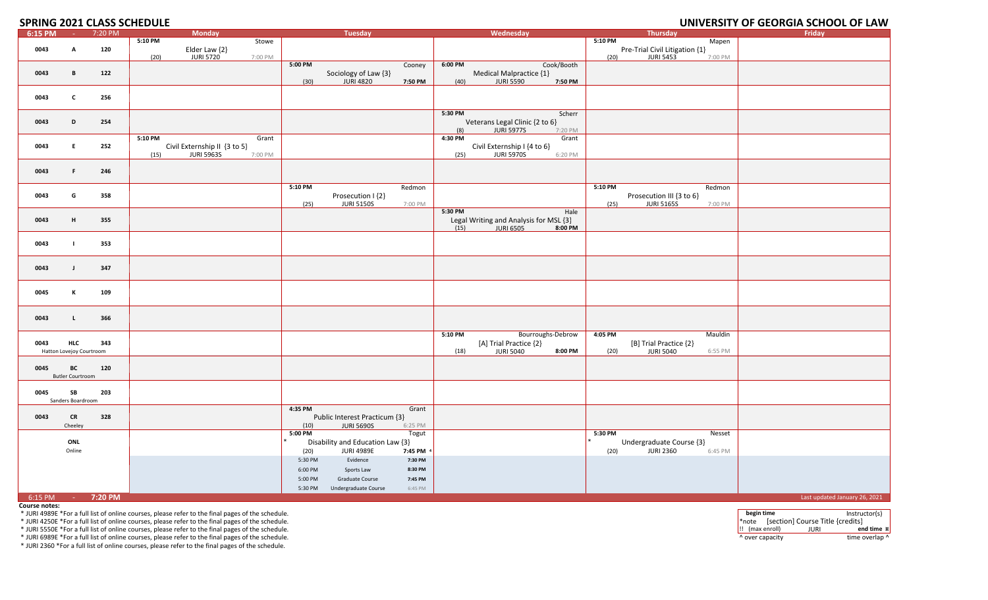### **SPRING 2021 CLASS SCHEDULE**

### **2021 CLASS SCHEDULE UNIVERSITY OF GEORGIA SCHOOL OF LAW**

| 6:15 PM           | $\sim 10^{-1}$           | 7:20 PM | <b>Monday</b>                        |         | <b>Tuesday</b>                   |         |         | Wednesday                              |            | <b>Thursday</b>                      | Friday                        |
|-------------------|--------------------------|---------|--------------------------------------|---------|----------------------------------|---------|---------|----------------------------------------|------------|--------------------------------------|-------------------------------|
|                   |                          |         | 5:10 PM                              | Stowe   |                                  |         |         |                                        |            | 5:10 PM<br>Mapen                     |                               |
| 0043              | А                        | 120     | Elder Law {2}                        |         |                                  |         |         |                                        |            | Pre-Trial Civil Litigation {1}       |                               |
|                   |                          |         | <b>JURI 5720</b><br>(20)<br>7:00 PM  |         |                                  |         |         |                                        |            | <b>JURI 5453</b><br>(20)<br>7:00 PM  |                               |
|                   |                          |         |                                      | 5:00 PM |                                  | Cooney  | 6:00 PM |                                        | Cook/Booth |                                      |                               |
|                   |                          |         |                                      |         |                                  |         |         |                                        |            |                                      |                               |
| 0043              | B                        | 122     |                                      |         | Sociology of Law {3}             |         |         | Medical Malpractice {1}                |            |                                      |                               |
|                   |                          |         |                                      | (30)    | <b>JURI 4820</b>                 | 7:50 PM | (40)    | <b>JURI 5590</b>                       | 7:50 PM    |                                      |                               |
|                   |                          |         |                                      |         |                                  |         |         |                                        |            |                                      |                               |
| 0043              | $\mathbf{c}$             | 256     |                                      |         |                                  |         |         |                                        |            |                                      |                               |
|                   |                          |         |                                      |         |                                  |         |         |                                        |            |                                      |                               |
|                   |                          |         |                                      |         |                                  |         | 5:30 PM |                                        | Scherr     |                                      |                               |
|                   |                          |         |                                      |         |                                  |         |         |                                        |            |                                      |                               |
| 0043              | D                        | 254     |                                      |         |                                  |         |         | Veterans Legal Clinic {2 to 6}         |            |                                      |                               |
|                   |                          |         |                                      |         |                                  |         | (8)     | <b>JURI 5977S</b>                      | 7:20 PM    |                                      |                               |
|                   |                          |         | 5:10 PM                              | Grant   |                                  |         | 4:30 PM |                                        | Grant      |                                      |                               |
| 0043              | E                        | 252     | Civil Externship II {3 to 5}         |         |                                  |         |         | Civil Externship I {4 to 6}            |            |                                      |                               |
|                   |                          |         | <b>JURI 5963S</b><br>7:00 PM<br>(15) |         |                                  |         | (25)    | <b>JURI 5970S</b>                      | 6:20 PM    |                                      |                               |
|                   |                          |         |                                      |         |                                  |         |         |                                        |            |                                      |                               |
|                   |                          |         |                                      |         |                                  |         |         |                                        |            |                                      |                               |
| 0043              | F.                       | 246     |                                      |         |                                  |         |         |                                        |            |                                      |                               |
|                   |                          |         |                                      |         |                                  |         |         |                                        |            |                                      |                               |
|                   |                          |         |                                      | 5:10 PM |                                  | Redmon  |         |                                        |            | 5:10 PM<br>Redmon                    |                               |
| 0043              | G                        | 358     |                                      |         | Prosecution I {2}                |         |         |                                        |            | Prosecution III {3 to 6}             |                               |
|                   |                          |         |                                      |         |                                  |         |         |                                        |            |                                      |                               |
|                   |                          |         |                                      | (25)    | <b>JURI 5150S</b>                | 7:00 PM |         |                                        |            | <b>JURI 5165S</b><br>(25)<br>7:00 PM |                               |
|                   |                          |         |                                      |         |                                  |         | 5:30 PM |                                        | Hale       |                                      |                               |
| 0043              | H                        | 355     |                                      |         |                                  |         |         | Legal Writing and Analysis for MSL {3} |            |                                      |                               |
|                   |                          |         |                                      |         |                                  |         | (15)    | <b>JURI 6505</b>                       | 8:00 PM    |                                      |                               |
|                   |                          |         |                                      |         |                                  |         |         |                                        |            |                                      |                               |
| 0043              | $\mathbf{I}$             | 353     |                                      |         |                                  |         |         |                                        |            |                                      |                               |
|                   |                          |         |                                      |         |                                  |         |         |                                        |            |                                      |                               |
|                   |                          |         |                                      |         |                                  |         |         |                                        |            |                                      |                               |
|                   |                          |         |                                      |         |                                  |         |         |                                        |            |                                      |                               |
| 0043              | $\mathbf{J}$             | 347     |                                      |         |                                  |         |         |                                        |            |                                      |                               |
|                   |                          |         |                                      |         |                                  |         |         |                                        |            |                                      |                               |
|                   |                          |         |                                      |         |                                  |         |         |                                        |            |                                      |                               |
| 0045              | К                        | 109     |                                      |         |                                  |         |         |                                        |            |                                      |                               |
|                   |                          |         |                                      |         |                                  |         |         |                                        |            |                                      |                               |
|                   |                          |         |                                      |         |                                  |         |         |                                        |            |                                      |                               |
|                   |                          |         |                                      |         |                                  |         |         |                                        |            |                                      |                               |
| 0043              | $\mathbf{L}$             | 366     |                                      |         |                                  |         |         |                                        |            |                                      |                               |
|                   |                          |         |                                      |         |                                  |         |         |                                        |            |                                      |                               |
|                   |                          |         |                                      |         |                                  |         | 5:10 PM | Bourroughs-Debrow                      |            | 4:05 PM<br>Mauldin                   |                               |
| 0043              | <b>HLC</b>               | 343     |                                      |         |                                  |         |         | [A] Trial Practice {2}                 |            | [B] Trial Practice {2}               |                               |
|                   | Hatton Lovejoy Courtroom |         |                                      |         |                                  |         | (18)    | <b>JURI 5040</b>                       | 8:00 PM    | <b>JURI 5040</b><br>(20)<br>6:55 PM  |                               |
|                   |                          |         |                                      |         |                                  |         |         |                                        |            |                                      |                               |
|                   |                          |         |                                      |         |                                  |         |         |                                        |            |                                      |                               |
| 0045              | BC                       | 120     |                                      |         |                                  |         |         |                                        |            |                                      |                               |
|                   | <b>Butler Courtroom</b>  |         |                                      |         |                                  |         |         |                                        |            |                                      |                               |
|                   |                          |         |                                      |         |                                  |         |         |                                        |            |                                      |                               |
| 0045              | SB                       | 203     |                                      |         |                                  |         |         |                                        |            |                                      |                               |
|                   | Sanders Boardroom        |         |                                      |         |                                  |         |         |                                        |            |                                      |                               |
|                   |                          |         |                                      | 4:35 PM |                                  | Grant   |         |                                        |            |                                      |                               |
|                   |                          |         |                                      |         |                                  |         |         |                                        |            |                                      |                               |
| 0043              | <b>CR</b>                | 328     |                                      |         | Public Interest Practicum {3}    |         |         |                                        |            |                                      |                               |
|                   | Cheeley                  |         |                                      | (10)    | <b>JURI 5690S</b>                | 6:25 PM |         |                                        |            |                                      |                               |
|                   |                          |         |                                      | 5:00 PM |                                  | Togut   |         |                                        |            | Nesset<br>5:30 PM                    |                               |
|                   | ONL                      |         |                                      |         | Disability and Education Law {3} |         |         |                                        |            | Undergraduate Course {3}             |                               |
|                   | Online                   |         |                                      | (20)    | <b>JURI 4989E</b>                | 7:45 PM |         |                                        |            | <b>JURI 2360</b><br>(20)<br>6:45 PM  |                               |
|                   |                          |         |                                      |         |                                  |         |         |                                        |            |                                      |                               |
|                   |                          |         |                                      | 5:30 PM | Evidence                         | 7:30 PM |         |                                        |            |                                      |                               |
|                   |                          |         |                                      | 6:00 PM | Sports Law                       | 8:30 PM |         |                                        |            |                                      |                               |
|                   |                          |         |                                      | 5:00 PM | Graduate Course                  | 7:45 PM |         |                                        |            |                                      |                               |
|                   |                          |         |                                      |         |                                  |         |         |                                        |            |                                      |                               |
|                   |                          |         |                                      | 5:30 PM | Undergraduate Course             | 6:45 PM |         |                                        |            |                                      |                               |
| 6:15 PM - 7:20 PM |                          |         |                                      |         |                                  |         |         |                                        |            |                                      | Last updated January 26, 2021 |

**Course notes:**

\* JURI 5550E \*For <sup>a</sup> full list of online courses, please refer to the final pages of the schedule. !! (max enroll) JURI **end time ¤**

\* JURI 6989E \*For <sup>a</sup> full list of online courses, please refer to the final pages of the schedule. ^ over capacity time overlap ^

\* JURI 2360 \*For <sup>a</sup> full list of online courses, please refer to the final pages of the schedule.

\* JURI 4989E \*For a full list of online courses, please refer to the final pages of the schedule. More instructor(s)<br>\* JURI 4250E \*For a full list of online courses, please refer to the final pages of the schedule. Note of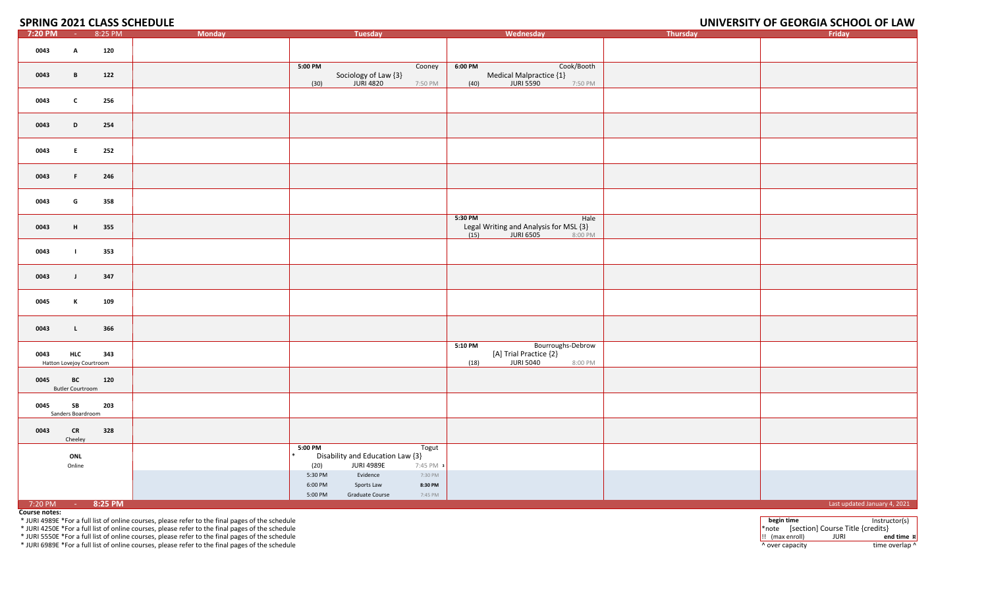### **SPRING 2021 CLASS SCHEDULE**

# **UNIVERSITY OF GEORGIA SCHOOL OF LAW**

| 7:20 PM           | <b>Common</b>                          | 8:25 PM | ----- ---<br><b>Monday</b> | Tuesday                                                                                        | Wednesday                                                                                      | Thursday | Friday                       |
|-------------------|----------------------------------------|---------|----------------------------|------------------------------------------------------------------------------------------------|------------------------------------------------------------------------------------------------|----------|------------------------------|
| 0043              | A                                      | 120     |                            |                                                                                                |                                                                                                |          |                              |
| 0043              | $\mathbf{B}$                           | 122     |                            | $5:00$ PM<br>Cooney<br>Sociology of Law {3}<br><b>JURI 4820</b><br>(30)<br>7:50 PM             | Cook/Booth<br>6:00 PM<br>Medical Malpractice {1}<br>(40)<br><b>JURI 5590</b><br>7:50 PM        |          |                              |
| 0043              | $\mathbf c$                            | 256     |                            |                                                                                                |                                                                                                |          |                              |
| 0043              | D                                      | 254     |                            |                                                                                                |                                                                                                |          |                              |
| 0043              | E                                      | 252     |                            |                                                                                                |                                                                                                |          |                              |
| 0043              | F.                                     | 246     |                            |                                                                                                |                                                                                                |          |                              |
| 0043              | G                                      | 358     |                            |                                                                                                |                                                                                                |          |                              |
| 0043              | H                                      | 355     |                            |                                                                                                | 5:30 PM<br>Hale<br>Legal Writing and Analysis for MSL {3}<br>(15)<br>JURI 6505<br>8:00 PM      |          |                              |
| 0043              | $\mathbf{L}$                           | 353     |                            |                                                                                                |                                                                                                |          |                              |
| 0043              | $\mathbf{J}$                           | 347     |                            |                                                                                                |                                                                                                |          |                              |
| 0045              | К                                      | 109     |                            |                                                                                                |                                                                                                |          |                              |
| 0043              | $\mathbf{L}$                           | 366     |                            |                                                                                                |                                                                                                |          |                              |
| 0043              | <b>HLC</b><br>Hatton Lovejoy Courtroom | 343     |                            |                                                                                                | 5:10 P M<br>Bourroughs-Debrow<br>[A] Trial Practice {2}<br><b>JURI 5040</b><br>8:00 PM<br>(18) |          |                              |
| 0045              | BC<br><b>Butler Courtroom</b>          | 120     |                            |                                                                                                |                                                                                                |          |                              |
| 0045              | SB<br>Sanders Boardroom                | 203     |                            |                                                                                                |                                                                                                |          |                              |
| 0043              | CR<br>Cheeley                          | 328     |                            |                                                                                                |                                                                                                |          |                              |
|                   | ONL<br>Online                          |         |                            | 5:00 PM<br>Togut<br>Disability and Education Law {3}<br>(20)<br><b>JURI 4989E</b><br>7:45 PM : |                                                                                                |          |                              |
|                   |                                        |         |                            | 7:30 PM<br>Evidence<br>5:30 PM<br>8:30 PM<br>6:00 PM<br>Sports Law                             |                                                                                                |          |                              |
| 7:20 PM - 8:25 PM |                                        |         |                            | 5:00 PM<br>7:45 PM<br>Graduate Course                                                          |                                                                                                |          | Last updated January 4, 2021 |

**Course notes:**

\* JURI 5550E \*For a full list of online courses, please refer to the final pages of the schedule !! (max enroll) JURI **end time ¤**

\* JURI 6989E \*For a full list of online courses, please refer to the final pages of the schedule time overlap of the schedule time overlap over capacity time overlap ^ over capacity time overlap ^

\* JURI 4989E \*For a full list of online courses, please refer to the final pages of the schedule last ructor(s)<br>\* JURI 4250E \*For a full list of online courses, please refer to the final pages of the schedule last and the \* JURI 4250E \*For a full list of online courses, please refer to the final pages of the schedule **the schedule of the schedule** the schedule to the final pages of the schedule to the schedule to the final pages of the sche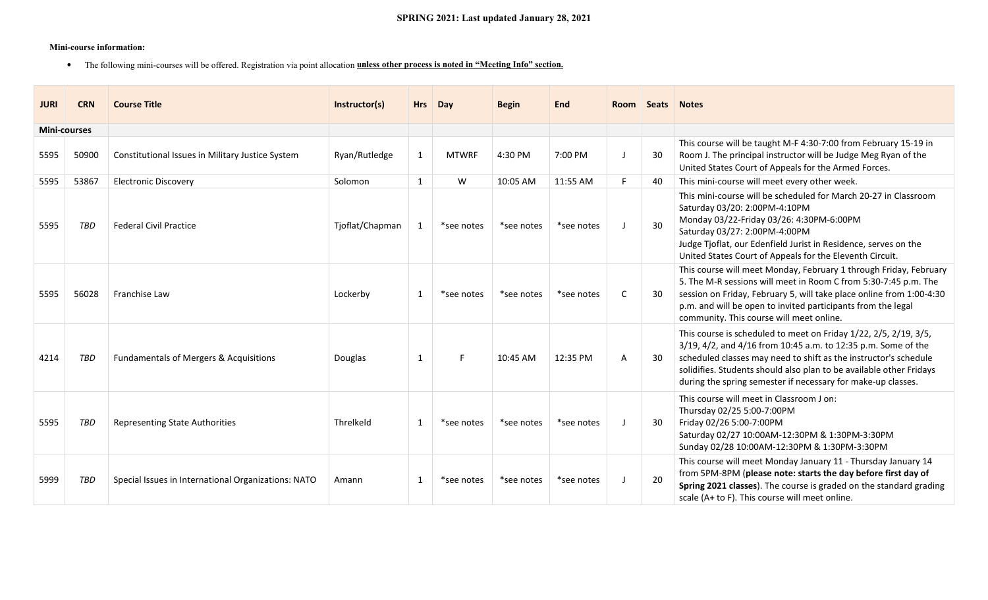#### **Mini-course information:**

• The following mini-courses will be offered. Registration via point allocation **unless other process is noted in "Meeting Info" section.**

| <b>JURI</b>         | <b>CRN</b> | <b>Course Title</b>                                 | Instructor(s)   | <b>Hrs</b>   | Day          | <b>Begin</b> | <b>End</b> | <b>Room</b> | <b>Seats</b> | <b>Notes</b>                                                                                                                                                                                                                                                                                                                                 |
|---------------------|------------|-----------------------------------------------------|-----------------|--------------|--------------|--------------|------------|-------------|--------------|----------------------------------------------------------------------------------------------------------------------------------------------------------------------------------------------------------------------------------------------------------------------------------------------------------------------------------------------|
| <b>Mini-courses</b> |            |                                                     |                 |              |              |              |            |             |              |                                                                                                                                                                                                                                                                                                                                              |
| 5595                | 50900      | Constitutional Issues in Military Justice System    | Ryan/Rutledge   | 1            | <b>MTWRF</b> | 4:30 PM      | 7:00 PM    |             | 30           | This course will be taught M-F 4:30-7:00 from February 15-19 in<br>Room J. The principal instructor will be Judge Meg Ryan of the<br>United States Court of Appeals for the Armed Forces.                                                                                                                                                    |
| 5595                | 53867      | <b>Electronic Discovery</b>                         | Solomon         | $\mathbf{1}$ | W            | 10:05 AM     | 11:55 AM   |             | 40           | This mini-course will meet every other week.                                                                                                                                                                                                                                                                                                 |
| 5595                | TBD        | <b>Federal Civil Practice</b>                       | Tjoflat/Chapman | 1            | *see notes   | *see notes   | *see notes |             | 30           | This mini-course will be scheduled for March 20-27 in Classroom<br>Saturday 03/20: 2:00PM-4:10PM<br>Monday 03/22-Friday 03/26: 4:30PM-6:00PM<br>Saturday 03/27: 2:00PM-4:00PM<br>Judge Tjoflat, our Edenfield Jurist in Residence, serves on the<br>United States Court of Appeals for the Eleventh Circuit.                                 |
| 5595                | 56028      | Franchise Law                                       | Lockerby        | 1            | *see notes   | *see notes   | *see notes | C           | 30           | This course will meet Monday, February 1 through Friday, February<br>5. The M-R sessions will meet in Room C from 5:30-7:45 p.m. The<br>session on Friday, February 5, will take place online from 1:00-4:30<br>p.m. and will be open to invited participants from the legal<br>community. This course will meet online.                     |
| 4214                | TBD        | Fundamentals of Mergers & Acquisitions              | Douglas         | 1            | F.           | 10:45 AM     | 12:35 PM   | A           | 30           | This course is scheduled to meet on Friday 1/22, 2/5, 2/19, 3/5,<br>3/19, 4/2, and 4/16 from 10:45 a.m. to 12:35 p.m. Some of the<br>scheduled classes may need to shift as the instructor's schedule<br>solidifies. Students should also plan to be available other Fridays<br>during the spring semester if necessary for make-up classes. |
| 5595                | TBD        | Representing State Authorities                      | Threlkeld       | 1            | *see notes   | *see notes   | *see notes |             | 30           | This course will meet in Classroom J on:<br>Thursday 02/25 5:00-7:00PM<br>Friday 02/26 5:00-7:00PM<br>Saturday 02/27 10:00AM-12:30PM & 1:30PM-3:30PM<br>Sunday 02/28 10:00AM-12:30PM & 1:30PM-3:30PM                                                                                                                                         |
| 5999                | TBD        | Special Issues in International Organizations: NATO | Amann           | 1            | *see notes   | *see notes   | *see notes |             | -20          | This course will meet Monday January 11 - Thursday January 14<br>from 5PM-8PM (please note: starts the day before first day of<br>Spring 2021 classes). The course is graded on the standard grading<br>scale (A+ to F). This course will meet online.                                                                                       |